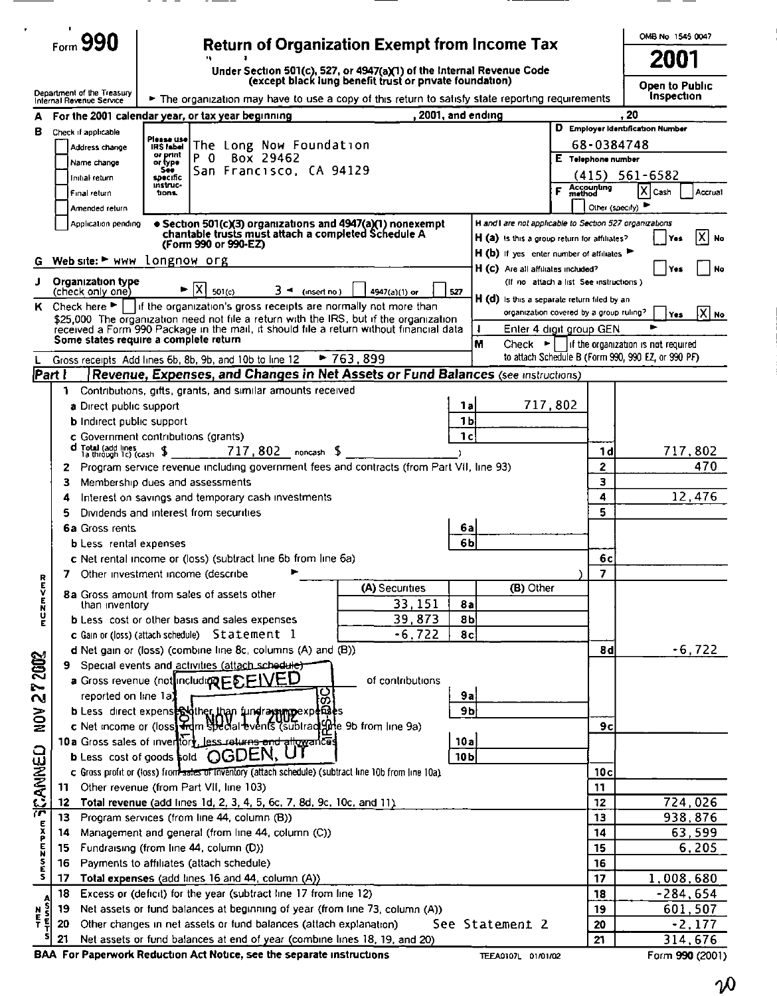|                                                                                                                                                                                                                                                                                                                                                                                                                                          | $F_{\text{form}}$ 990                                                                                                                                                                                                                                                                                                                                                        |                                                                                                  |                                                                |                    |             | <b>Return of Organization Exempt from Income Tax</b>                                                                                                                                                                              |                     |                                        |                                                                                                                                                                           |                                                                                                              |                                                       |                                                                                           | OMB No 1545 0047<br>2001                              |
|------------------------------------------------------------------------------------------------------------------------------------------------------------------------------------------------------------------------------------------------------------------------------------------------------------------------------------------------------------------------------------------------------------------------------------------|------------------------------------------------------------------------------------------------------------------------------------------------------------------------------------------------------------------------------------------------------------------------------------------------------------------------------------------------------------------------------|--------------------------------------------------------------------------------------------------|----------------------------------------------------------------|--------------------|-------------|-----------------------------------------------------------------------------------------------------------------------------------------------------------------------------------------------------------------------------------|---------------------|----------------------------------------|---------------------------------------------------------------------------------------------------------------------------------------------------------------------------|--------------------------------------------------------------------------------------------------------------|-------------------------------------------------------|-------------------------------------------------------------------------------------------|-------------------------------------------------------|
| А                                                                                                                                                                                                                                                                                                                                                                                                                                        | Department of the Treasury<br>Internal Revenue Service<br>For the 2001 calendar year, or tax year beginning                                                                                                                                                                                                                                                                  |                                                                                                  |                                                                |                    |             | Under Section 501(c), 527, or 4947(a)(1) of the Internal Revenue Code<br>(except black lung benefit trust or pnvate foundation)<br>The organization may have to use a copy of this return to satisfy state reporting requirements |                     | .2001, and ending                      |                                                                                                                                                                           |                                                                                                              |                                                       | 20                                                                                        | <b>Open to Public</b><br>Inspection                   |
| в                                                                                                                                                                                                                                                                                                                                                                                                                                        | Check if applicable<br>Address change<br>Name change<br>Initial return<br>Final return                                                                                                                                                                                                                                                                                       | Please use<br><b>IRS</b> fabel<br>or print<br>or type:<br>See:<br>specific<br>instruc-<br>tions. | The Long Now Foundation<br>$\Omega$<br>San Francisco, CA 94129 | Box 29462          |             |                                                                                                                                                                                                                                   |                     |                                        |                                                                                                                                                                           | F                                                                                                            | 68-0384748<br>E Telephone number<br><b>Accounting</b> | D Employer Identification Number<br>$(415)$ 561-6582<br>χ<br>Cash                         | Accrual                                               |
|                                                                                                                                                                                                                                                                                                                                                                                                                                          | Amended return<br>Application pending<br>G Web site: ► WWW longnow org                                                                                                                                                                                                                                                                                                       |                                                                                                  | (Form 990 or 990-EZ)                                           |                    |             | • Section 501(c)(3) organizations and 4947(a)(1) nonexempt<br>chantable trusts must attach a completed Schedule A                                                                                                                 |                     |                                        | H and I are not applicable to Section 527 organizations<br>H (a) is this a group return for affiliates?<br>$H(b)$ If yes enter number of affiliates $\blacktriangleright$ |                                                                                                              | Other (specify)                                       |                                                                                           | X No<br>Yes                                           |
| J                                                                                                                                                                                                                                                                                                                                                                                                                                        | Organization type<br>(check only one)<br>K Check here $\blacktriangleright$   if the organization's gross receipts are normally not more than<br>\$25,000. The organization need not file a return with the IRS, but if the organization<br>received a Form 990 Package in the mail, it should file a return without financial data<br>Some states require a complete return |                                                                                                  | [X]<br>501(c)                                                  | 3 ⊣                | (insert no) | 4947(a)(1) or                                                                                                                                                                                                                     |                     | 527                                    | H (C) Are all affiliates included?<br>H (d) is this a separate return filed by an                                                                                         | (If no attach a list See instructions)<br>organization covered by a group ruling?<br>Enter 4 digit group GEN |                                                       |                                                                                           | No<br>Yes<br>$ X $ No.<br>Yes                         |
| Part I                                                                                                                                                                                                                                                                                                                                                                                                                                   | Gross receipts. Add lines 6b, 8b, 9b, and 10b to line 12.<br>Contributions, gifts, grants, and similar amounts received<br>1.                                                                                                                                                                                                                                                |                                                                                                  |                                                                |                    |             | $*763,899$<br>Revenue, Expenses, and Changes in Net Assets or Fund Balances (see instructions)                                                                                                                                    |                     | M                                      | $Check$ $\sim$                                                                                                                                                            |                                                                                                              |                                                       | if the organization is not required<br>to attach Schedule B (Form 990, 990 EZ, or 990 PF) |                                                       |
|                                                                                                                                                                                                                                                                                                                                                                                                                                          | a Direct public support<br><b>b</b> Indirect public support<br>c Government contributions (grants)<br>d Total (add lines<br>Ta through Tc) (cash \$                                                                                                                                                                                                                          |                                                                                                  |                                                                | 717,802 noncash \$ |             |                                                                                                                                                                                                                                   |                     | 1a<br>1 <sub>b</sub><br>1 <sub>c</sub> |                                                                                                                                                                           | 717,802                                                                                                      | 1 d                                                   |                                                                                           | 717,802                                               |
|                                                                                                                                                                                                                                                                                                                                                                                                                                          | Program service revenue including government fees and contracts (from Part VII, line 93)<br>2<br>Membership dues and assessments<br>З<br>Interest on savings and temporary cash investments<br>4<br>Dividends and interest from securities<br>5<br>6a Gross rents                                                                                                            |                                                                                                  |                                                                |                    |             |                                                                                                                                                                                                                                   |                     | 6a                                     |                                                                                                                                                                           |                                                                                                              | 2<br>3<br>4<br>5                                      |                                                                                           | 470<br>12,476                                         |
|                                                                                                                                                                                                                                                                                                                                                                                                                                          | <b>b</b> Less rental expenses<br>c Net rental income or (loss) (subtract line 6b from line 6a)<br>Other investment income (describe<br>8a Gross amount from sales of assets other<br>than inventory                                                                                                                                                                          |                                                                                                  |                                                                |                    |             | (A) Securities                                                                                                                                                                                                                    | 33,151              | 6 <b>b</b><br>8a                       | (B) Other                                                                                                                                                                 |                                                                                                              | 6c<br>7                                               |                                                                                           |                                                       |
| mczn <mz< th=""><td>b Less cost or other basis and sales expenses<br/>c Gain or (loss) (attach schedule) Statement 1<br/>d Net gain or (loss) (combine line 8c, columns (A) and (B)).<br/>Special events and activities (attach schedule)</td><td></td><td></td><td></td><td></td><td></td><td>39,873<br/><math>-6, 722</math></td><td>8b<br/>8<sup>o</sup></td><td></td><td></td><td>8d</td><td></td><td><math>-6,722</math></td></mz<> | b Less cost or other basis and sales expenses<br>c Gain or (loss) (attach schedule) Statement 1<br>d Net gain or (loss) (combine line 8c, columns (A) and (B)).<br>Special events and activities (attach schedule)                                                                                                                                                           |                                                                                                  |                                                                |                    |             |                                                                                                                                                                                                                                   | 39,873<br>$-6, 722$ | 8b<br>8 <sup>o</sup>                   |                                                                                                                                                                           |                                                                                                              | 8d                                                    |                                                                                           | $-6,722$                                              |
| 272002<br>NON                                                                                                                                                                                                                                                                                                                                                                                                                            | a Gross revenue (not including EDEIVEU<br>reported on line 1a)<br>b Less direct expenses iner then fundray mpexpenses<br>c Net income or (loss) and Bucal events (subtradiate 9b from line 9a)<br>10 a Gross sales of invertiont, less returns and allowances                                                                                                                |                                                                                                  |                                                                |                    | თ           |                                                                                                                                                                                                                                   | of contributions    | 9a<br>9 <sub>b</sub><br>10a            |                                                                                                                                                                           |                                                                                                              | 9с                                                    |                                                                                           |                                                       |
|                                                                                                                                                                                                                                                                                                                                                                                                                                          | <b>b</b> Less cost of goods sold $\bigcirc$ $G$ DEN, U<br>c Gross profit or (loss) from 3 and 5 Triventory (attach schedule) (subtract line 10b from line 10a).<br>Other revenue (from Part VII, line 103)<br>11<br>Total revenue (add lines 1d, 2, 3, 4, 5, 6c, 7, 8d, 9c, 10c, and 11).<br>12<br>Program services (from line 44, column (B))<br>13                         |                                                                                                  |                                                                |                    |             |                                                                                                                                                                                                                                   |                     | 10 <sub>b</sub>                        |                                                                                                                                                                           |                                                                                                              | 10c<br>11<br>12<br>13                                 |                                                                                           | 724,026                                               |
| umuzunan SicANNED                                                                                                                                                                                                                                                                                                                                                                                                                        | Management and general (from line 44, column (C))<br>14<br>Fundraising (from line 44, column (D))<br>15<br>Payments to affiliates (attach schedule)<br>16<br>Total expenses (add lines 16 and 44, column (A))<br>17<br>Excess or (deficit) for the year (subtract line 17 from line 12)<br>18                                                                                |                                                                                                  |                                                                |                    |             |                                                                                                                                                                                                                                   |                     |                                        |                                                                                                                                                                           |                                                                                                              | 14<br>15<br>16<br>17<br>18                            |                                                                                           | 938,876<br>63,599<br>6,205<br>1,008,680<br>$-284,654$ |

 $\cdot$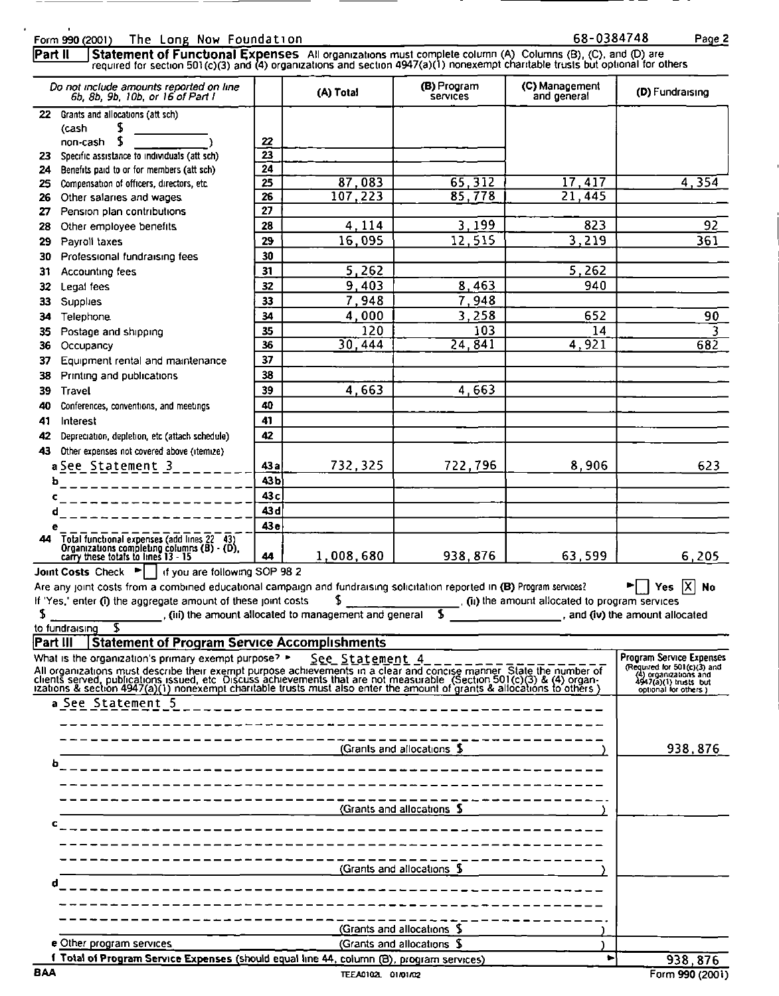|                      | $\mathbf{r}$<br>The Long Now Foundation<br>Form 990 (2001)                                                                                                                                                                                                                                                    |                               |                                                                         |                                | 68-0384748                                                                                                                                                                                                                                                                                                                    | Page <sub>2</sub>                                                                                                                             |
|----------------------|---------------------------------------------------------------------------------------------------------------------------------------------------------------------------------------------------------------------------------------------------------------------------------------------------------------|-------------------------------|-------------------------------------------------------------------------|--------------------------------|-------------------------------------------------------------------------------------------------------------------------------------------------------------------------------------------------------------------------------------------------------------------------------------------------------------------------------|-----------------------------------------------------------------------------------------------------------------------------------------------|
| Part II              | Statement of Functional Expenses All organizations must complete column (A) Columns (B), (C), and (D) are required for section 501(c)(3) and (4) organizations and section 4947(a)(1) nonexempt charitable trusts but optional<br>Do not include amounts reported on line<br>6b, 8b, 9b, 10b, or 16 of Part I |                               | (A) Total                                                               | (B) Program<br><b>Services</b> | (C) Management<br>and general                                                                                                                                                                                                                                                                                                 | (D) Fundraising                                                                                                                               |
| 23                   | 22 Grants and allocations (att sch)<br>S<br>(cash<br>\$<br>non-cash<br>Specific assistance to individuals (att sch)                                                                                                                                                                                           | 22<br>23                      |                                                                         |                                |                                                                                                                                                                                                                                                                                                                               |                                                                                                                                               |
| 24<br>25<br>27       | Benefits paid to or for members (att sch)<br>Compensation of officers, directors, etc.<br>26 Other salaries and wages<br>Pension plan contributions                                                                                                                                                           | 24<br>25<br>26<br>27          | 87,083<br>107,223                                                       | 65,312<br>85,778               | 17,417<br>$\overline{21}$<br>$\overline{445}$                                                                                                                                                                                                                                                                                 | 4, 354                                                                                                                                        |
| 28<br>29<br>30<br>31 | Other employee benefits<br>Payroll taxes<br>Professional fundraising fees<br>Accounting fees                                                                                                                                                                                                                  | 28<br>29<br>30<br>31          | 4,114<br>16,095<br>5,262                                                | 3,199<br>12,515                | 823<br>3,219<br>5,262                                                                                                                                                                                                                                                                                                         | 92<br>361                                                                                                                                     |
| 32<br>33<br>34       | Legal fees<br>Supplies<br>Telephone.                                                                                                                                                                                                                                                                          | 32<br>33<br>34                | 9,403<br>7,948<br>4,000                                                 | 8,463<br>7,948<br>3,258        | 940<br>652                                                                                                                                                                                                                                                                                                                    | 90                                                                                                                                            |
| 35<br>36<br>37<br>38 | Postage and shipping<br>Occupancy<br>Equipment rental and maintenance<br>Printing and publications                                                                                                                                                                                                            | 35<br>36<br>37<br>38          | 120<br>30,444                                                           | 103<br>24, 841                 | 14<br>4,921                                                                                                                                                                                                                                                                                                                   | 3<br>682                                                                                                                                      |
| 39<br>40<br>41<br>42 | Travel<br>Conferences, conventions, and meetings<br>Interest<br>Depreciation, depletion, etc (attach schedule)                                                                                                                                                                                                | 39<br>40<br>41<br>42          | 4,663                                                                   | 4,663                          |                                                                                                                                                                                                                                                                                                                               |                                                                                                                                               |
| 43                   | Other expenses not covered above (itemize)<br>$a$ See Statement 3<br>ъ<br>_______________                                                                                                                                                                                                                     | 43a<br>43 <sub>b</sub><br>43c | 732,325                                                                 | 722,796                        | 8,906                                                                                                                                                                                                                                                                                                                         | 623                                                                                                                                           |
| 44                   | c<br>_________________<br>d<br>-------------<br>е<br>Total functional expenses (add lines 22 43)<br>Organizations completing columns (B) - (D),<br>carry these totals to lines 13 - 15                                                                                                                        | 43 d<br>43e                   |                                                                         |                                |                                                                                                                                                                                                                                                                                                                               |                                                                                                                                               |
|                      | Joint Costs Check ▶     if you are following SOP 98 2<br>Are any joint costs from a combined educational campaign and fundraising solicitation reported in (B) Program services?<br>If 'Yes,' enter (i) the aggregate amount of these joint costs                                                             | 44                            | 1,008,680                                                               | 938, 876                       | 63,599<br>$\frac{1}{2}$ $\frac{1}{2}$ $\frac{1}{2}$ $\frac{1}{2}$ $\frac{1}{2}$ $\frac{1}{2}$ $\frac{1}{2}$ $\frac{1}{2}$ $\frac{1}{2}$ $\frac{1}{2}$ $\frac{1}{2}$ $\frac{1}{2}$ $\frac{1}{2}$ $\frac{1}{2}$ $\frac{1}{2}$ $\frac{1}{2}$ $\frac{1}{2}$ $\frac{1}{2}$ $\frac{1}{2}$ $\frac{1}{2}$ $\frac{1}{2}$ $\frac{1}{2}$ | 6,205<br>Yes $\overline{X}$ No                                                                                                                |
| \$                   | \$<br>to fundraising<br><b>Statement of Program Service Accomplishments</b><br>Part III<br>What is the organization's primary exempt purpose? >                                                                                                                                                               |                               | (iii) the amount allocated to management and general<br>See Statement 4 | ſ.                             | and (iv) the amount allocated                                                                                                                                                                                                                                                                                                 |                                                                                                                                               |
|                      | All organizations must describe their exempt purpose achievements in a clear and concise manner. State the number of clients served, publications issued, etc. Discuss achievements that are not measurable. (Section 501(c)(<br>a See Statement 5                                                            |                               |                                                                         |                                |                                                                                                                                                                                                                                                                                                                               | <b>Program Service Expenses</b><br>(Required for 501(c)(3) and<br>$(4)$ organizations and<br>$4947(a)$ (1) trusts but<br>optional for others) |
|                      | b                                                                                                                                                                                                                                                                                                             |                               |                                                                         | (Grants and allocations \$     |                                                                                                                                                                                                                                                                                                                               | 938,876                                                                                                                                       |
|                      | ------------------------<br>c                                                                                                                                                                                                                                                                                 |                               | (Grants and allocations \$                                              |                                |                                                                                                                                                                                                                                                                                                                               |                                                                                                                                               |
|                      | ~---------------------<br>(Grants and allocations \$)<br>d                                                                                                                                                                                                                                                    |                               |                                                                         |                                |                                                                                                                                                                                                                                                                                                                               |                                                                                                                                               |
|                      |                                                                                                                                                                                                                                                                                                               |                               |                                                                         |                                |                                                                                                                                                                                                                                                                                                                               |                                                                                                                                               |
|                      | --------------------<br>e Other program services                                                                                                                                                                                                                                                              |                               | (Grants and allocations \$<br>(Grants and allocations \$                |                                |                                                                                                                                                                                                                                                                                                                               |                                                                                                                                               |

| h                                                                                        | -------------------        |  |          |
|------------------------------------------------------------------------------------------|----------------------------|--|----------|
|                                                                                          | ____________________       |  |          |
|                                                                                          |                            |  |          |
|                                                                                          | (Grants and allocations \$ |  |          |
|                                                                                          | ----------------           |  |          |
|                                                                                          |                            |  |          |
|                                                                                          |                            |  |          |
|                                                                                          | (Grants and allocations \$ |  |          |
|                                                                                          | _______________            |  |          |
|                                                                                          |                            |  |          |
|                                                                                          |                            |  |          |
|                                                                                          | (Grants and allocations \$ |  |          |
| e Other program services                                                                 | (Grants and allocations \$ |  |          |
| 1 Total of Program Service Expenses (should equal line 44, column (B), program services) |                            |  | 938, 876 |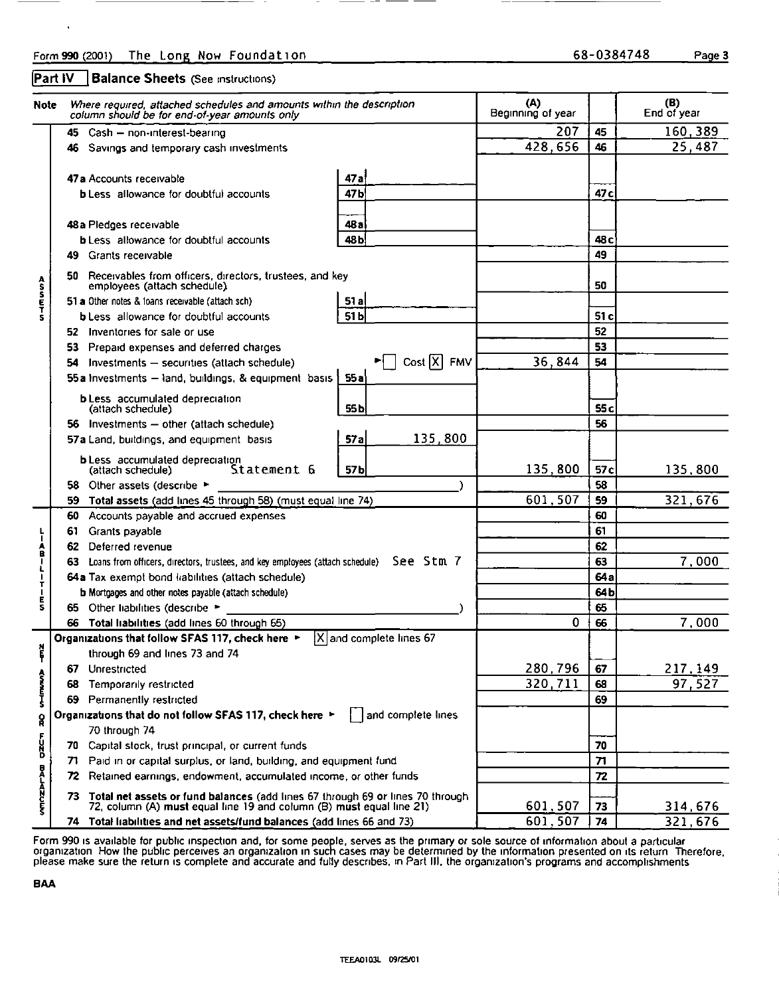|          | The Long Now Foundation                                                                                                                                                                                  |                                                             |                                            |                             | Page 3                                  |
|----------|----------------------------------------------------------------------------------------------------------------------------------------------------------------------------------------------------------|-------------------------------------------------------------|--------------------------------------------|-----------------------------|-----------------------------------------|
|          | Where required, attached schedules and amounts within the description<br>column should be for end-of-year amounts only                                                                                   |                                                             |                                            |                             |                                         |
|          |                                                                                                                                                                                                          |                                                             |                                            |                             |                                         |
|          | 45 Cash - non-interest-bearing<br>46 Savings and temporary cash investments                                                                                                                              |                                                             | (A)<br>Beginning of year<br>207<br>428,656 | 45<br>46                    | (B)<br>End of year<br>160,389<br>25,487 |
|          | 47a Accounts receivable<br><b>b</b> Less allowance for doubtful accounts                                                                                                                                 | 47a<br>47b                                                  |                                            | 47 <sub>c</sub>             |                                         |
|          | 48 a Pledges receivable<br><b>b</b> Less allowance for doubtful accounts                                                                                                                                 | 48a<br>48b                                                  |                                            | 48 <sub>c</sub>             |                                         |
|          | 49 Grants receivable<br>50 Receivables from officers, directors, trustees, and key<br>employees (attach schedule).                                                                                       |                                                             |                                            | 49<br>50                    |                                         |
|          | 51 a Other notes & loans receivable (attach sch)<br><b>b</b> Less allowance for doubtful accounts<br>52 Inventories for sale or use                                                                      | 51a<br>51b                                                  |                                            | 51 <sub>c</sub><br>52       |                                         |
|          | 53 Prepaid expenses and deferred charges<br>54 Investments - securities (attach schedule)<br>55a Investments - land, buildings, & equipment basis                                                        | $\blacktriangleright$ Cost $\overline{X}$ FMV<br>55a        | 36,844                                     | 53<br>54                    |                                         |
|          | <b>b</b> Less accumulated depreciation<br>(attach schedule)                                                                                                                                              | 55 <sub>b</sub>                                             |                                            | 55c<br>56                   |                                         |
|          | 56 Investments - other (attach schedule)<br>57a Land, buildings, and equipment basis<br><b>b</b> Less accumulated depreciation                                                                           | 135,800<br>57a                                              |                                            |                             |                                         |
|          | (attach schedule)<br>Statement 6<br>58 Other assets (describe ><br>59 Total assets (add lines 45 through 58) (must equal line 74)                                                                        | 57 <sub>b</sub><br>$\lambda$                                | 135,800<br>601,507                         | 57 <sub>c</sub><br>58<br>59 | 135,800<br>321,676                      |
| 60<br>62 | Accounts payable and accrued expenses<br>61 Grants payable<br>Deferred revenue                                                                                                                           |                                                             |                                            | 60<br>61<br>62              |                                         |
|          | 63 Loans from officers, directors, trustees, and key employees (attach schedule) See Stm 7<br>64a Tax exempt bond liabilities (attach schedule)<br>b Mortgages and other notes payable (attach schedule) |                                                             |                                            | 63<br>64a<br>64b            | 7,000                                   |
|          | 65 Other liabilities (describe ><br>66 Total liabilities (add lines 60 through 65)<br>Organizations that follow SFAS 117, check here ▶                                                                   | X and complete lines 67                                     | $\mathbf 0$                                | 65<br>66                    | 7,000                                   |
|          | through 69 and lines 73 and 74<br>67 Unrestricted<br>68 Temporarily restricted                                                                                                                           |                                                             | 280,796<br>320,711                         | 67<br>68                    | 217,149<br>97,527                       |
|          | 69 Permanently restricted<br>Organizations that do not follow SFAS 117, check here ▶<br>70 through 74                                                                                                    | and complete lines                                          |                                            | 69                          |                                         |
|          | 70 Capital stock, trust principal, or current funds<br>71 Paid in or capital surplus, or land, building, and equipment fund<br>72 Retained earnings, endowment, accumulated income, or other funds       |                                                             |                                            | 70<br>71<br>72              |                                         |
|          | Part IV<br><b>Note</b>                                                                                                                                                                                   | Form 990 (2001)<br><b>Balance Sheets (See instructions)</b> |                                            |                             | 68-0384748                              |

Form 990 is available for public inspection and, for some people, serves as the primary or sole source of information about a particular<br>organization. How the public perceives an organization in such cases may be determine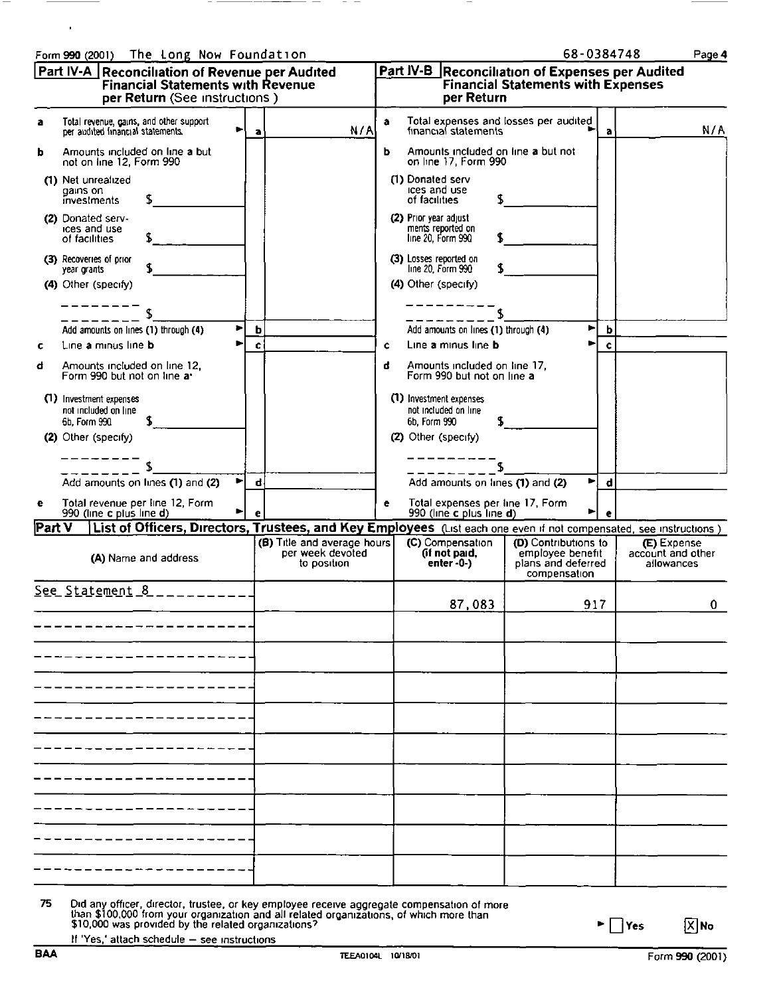|                                                                                                                                                                                                                                                                                                |                                                                |                                                                                                       | 68-0384748                                                                     | Page 4                            |
|------------------------------------------------------------------------------------------------------------------------------------------------------------------------------------------------------------------------------------------------------------------------------------------------|----------------------------------------------------------------|-------------------------------------------------------------------------------------------------------|--------------------------------------------------------------------------------|-----------------------------------|
| The Long Now Foundation<br>Form 990 (2001)<br>Part IV-A Reconciliation of Revenue per Audited<br>Financial Statements with Revenue<br>per Return (See instructions)                                                                                                                            |                                                                | Part IV-B Reconciliation of Expenses per Audited<br>Financial Statements with Expenses<br>per Return  |                                                                                |                                   |
| Total revenue, gains, and other support<br>per audited financial statements.<br>a                                                                                                                                                                                                              | N/A<br>a                                                       | Total expenses and losses per audited<br>financial statements<br>a                                    | а                                                                              | N/A                               |
| Amounts included on line a but<br>b<br>not on line 12, Form 990<br>(1) Net unrealized<br>gains on                                                                                                                                                                                              |                                                                | Amounts included on line a but not<br>ь<br>on line 17, Form 990<br>(1) Donated serv<br>ices and use   |                                                                                |                                   |
| S<br>investments<br>(2) Donated serv-<br>ices and use                                                                                                                                                                                                                                          |                                                                | of facilities<br>(2) Prior year adjust                                                                |                                                                                |                                   |
| of facilities<br>(3) Recoveries of prior<br>year grants                                                                                                                                                                                                                                        |                                                                | ments reported on<br>line 20, Form 990<br>(3) Losses reported on<br>line 20, Form 990                 |                                                                                |                                   |
| (4) Other (specify)                                                                                                                                                                                                                                                                            |                                                                | (4) Other (specify)                                                                                   |                                                                                |                                   |
| ٠<br>Add amounts on lines (1) through (4)<br>Þ<br>Line a minus line b<br>c<br>Amounts included on line 12,<br>đ                                                                                                                                                                                | b<br>c                                                         | Add amounts on lines (1) through (4)<br>Line a minus line b<br>¢<br>đ<br>Amounts included on line 17, | ы<br>b<br>c                                                                    |                                   |
| Form 990 but not on line a.<br>(1) Investment expenses<br>not included on line                                                                                                                                                                                                                 |                                                                | Form 990 but not on line a<br>(1) Investment expenses<br>not included on line                         |                                                                                |                                   |
| 6b, Form 990<br>(2) Other (specify)                                                                                                                                                                                                                                                            |                                                                | 6b. Form 990<br>(2) Other (specify)                                                                   |                                                                                |                                   |
| ►∣<br>Add amounts on lines (1) and (2)<br>е                                                                                                                                                                                                                                                    | đ                                                              | S<br>Add amounts on lines (1) and (2)<br>e                                                            | $\blacksquare$<br>$\mathbf d$                                                  |                                   |
| Total revenue per line 12, Form<br>990 (line c plus line d)<br>▶<br>Part V<br>List of Officers, Directors, Trustees, and Key Employees (List each one even if not compensated, see instructions)                                                                                               | е                                                              | Total expenses per line 17, Form<br>990 (line c plus line d)                                          | Þ<br>e                                                                         | (E) Expense                       |
| (A) Name and address                                                                                                                                                                                                                                                                           | (B) Title and average hours<br>per week devoted<br>to position | $(C)$ Compensation<br>(if not paid,<br>enter -0-)                                                     | (D) Contributions to<br>employee benefit<br>plans and deferred<br>compensation | account and other<br>allowances   |
| $See$ Statement 8 __________<br>--------------                                                                                                                                                                                                                                                 |                                                                | 87,083                                                                                                | 917                                                                            | 0                                 |
|                                                                                                                                                                                                                                                                                                |                                                                |                                                                                                       |                                                                                |                                   |
|                                                                                                                                                                                                                                                                                                |                                                                |                                                                                                       |                                                                                |                                   |
|                                                                                                                                                                                                                                                                                                |                                                                |                                                                                                       |                                                                                |                                   |
|                                                                                                                                                                                                                                                                                                |                                                                |                                                                                                       |                                                                                |                                   |
|                                                                                                                                                                                                                                                                                                |                                                                |                                                                                                       |                                                                                |                                   |
| 75                                                                                                                                                                                                                                                                                             |                                                                |                                                                                                       |                                                                                |                                   |
| Did any officer, director, trustee, or key employee receive aggregate compensation of more than \$100,000 from your organization and all related organizations, of which more than \$10,000 was provided by the related organiza<br>If 'Yes,' attach schedule - see instructions<br><b>BAA</b> | TEEA0104L 10/18/01                                             |                                                                                                       | $\blacktriangleright \Box$ Yes                                                 | $\boxed{X}$ No<br>Form 990 (2001) |

| 75 | Did any officer, director, trustee, or key employee receive aggregate compensation of more<br>than \$100,000 from your organization and all related organizations, of which more than<br>\$10,000 was provided by the related organizations? |
|----|----------------------------------------------------------------------------------------------------------------------------------------------------------------------------------------------------------------------------------------------|
|    | If 'Yes,' attach schedule - see instructions                                                                                                                                                                                                 |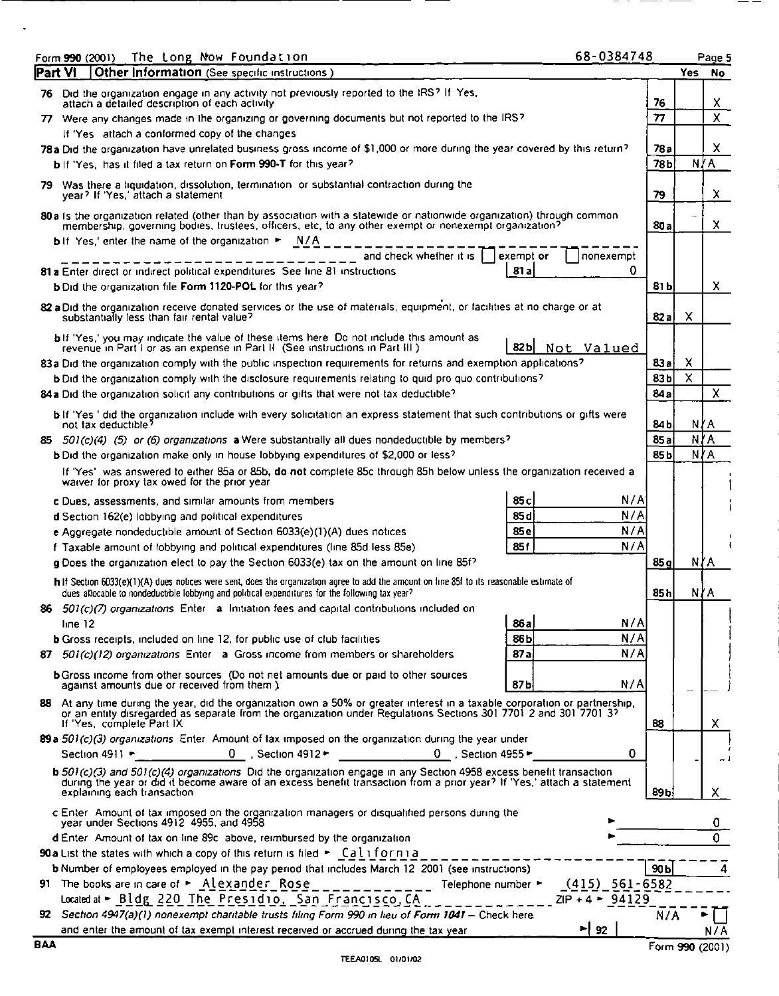| The Long Now Foundation<br>Form 990 (2001)<br>Other Information (See specific instructions)<br> Part VI                                                                                                                                                                                                                                                                                                                                                                                                                                                                                               | 68-0384748                             | Page 5<br><b>Yes</b><br>No.           |
|-------------------------------------------------------------------------------------------------------------------------------------------------------------------------------------------------------------------------------------------------------------------------------------------------------------------------------------------------------------------------------------------------------------------------------------------------------------------------------------------------------------------------------------------------------------------------------------------------------|----------------------------------------|---------------------------------------|
| 76 Did the organization engage in any activity not previously reported to the IRS? If Yes,<br>attach a detailed description of each activity<br>77. Were any changes made in the organizing or governing documents but not reported to the IRS?<br>If 'Yes attach a conformed copy of the changes<br>78a Did the organization have unrelated business gross income of \$1,000 or more during the year covered by this return?                                                                                                                                                                         | 76<br>77<br>78 a                       | x<br>$\overline{\mathsf{x}}$<br>x     |
| bif 'Yes, has it filed a tax return on Form 990-T for this year?<br>79 Was there a liquidation, dissolution, termination or substantial contraction during the<br>year? If 'Yes,' attach a statement<br>80 a Is the organization related (other than by association with a statewide or nationwide organization) through common<br>membership, governing bodies, trustees, officers, etc, to any other exempt or nonexempt organization?                                                                                                                                                              | 78b<br>79<br>80 a                      | N∤A<br>X<br>$\boldsymbol{\mathsf{X}}$ |
| <b>b</b> If Yes,' enter the name of the organization > N/A<br>and check whether it is<br>exempt or<br>81 a<br>81 a Enter direct or indirect political expenditures. See line 81 instructions<br><b>b</b> Did the organization file Form 1120-POL for this year?                                                                                                                                                                                                                                                                                                                                       | nonexempt<br>0<br>81 b                 | X                                     |
| 82 a Did the organization receive donated services or the use of materials, equipment, or facilities at no charge or at<br>substantially less than fair rental value?<br>bif 'Yes,' you may indicate the value of these items here. Do not include this amount as revenue in Part I or as an expense in Part II. (See instructions in Part III.)<br>82 b<br>83a Did the organization comply with the public inspection requirements for returns and exemption applications?<br>b Did the organization comply with the disclosure requirements relating to quid pro quo contributions?                 | 82a<br>Not Valued<br>83a<br>83b        | X<br>X<br>X                           |
| 84a Did the organization solicit any contributions or gifts that were not tax deductible?<br>bif 'Yes' did the organization include with every solicitation an express statement that such contributions or gifts were<br>not tax deductible?<br>85 501(c)(4) (5) or (6) organizations a Were substantially all dues nondeductible by members?<br>b Did the organization make only in house lobbying expenditures of \$2,000 or less?                                                                                                                                                                 | 84a<br>84 b<br>85 a<br>85 <sub>b</sub> | x<br>NYA<br>N∤A<br>N∤A                |
| If 'Yes' was answered to either 85a or 85b, do not complete 85c through 85h below unless the organization received a<br>waiver for proxy tax owed for the prior year<br>85c<br>c Dues, assessments, and similar amounts from members<br>85d<br>d Section 162(e) lobbying and political expenditures                                                                                                                                                                                                                                                                                                   | N/A<br>N/A<br>N/A                      |                                       |
| 85e<br>e Aggregate nondeductible amount of Section 6033(e)(1)(A) dues notices<br>85f<br>f Taxable amount of lobbying and political expenditures (line 85d less 85e)<br>g Does the organization elect to pay the Section 6033(e) tax on the amount on line 85f?<br>h If Section 6033(e)(1)(A) dues notices were sent, does the organization agree to add the amount on line 85f to its reasonable estimate of<br>dues allocable to nondeductible lobbying and political expenditures for the following tax year?                                                                                       | N/A<br>85g<br>85 h                     | N∤A<br>N∤A                            |
| 86 $501(c)/7$ organizations Enter a Initiation fees and capital contributions included on<br>86a<br>line 12<br>86b<br><b>b</b> Gross receipts, included on line 12, for public use of club facilities<br>87a<br>87 501(c)(12) organizations Enter a Gross income from members or shareholders<br><b>b</b> Gross income from other sources (Do not net amounts due or paid to other sources                                                                                                                                                                                                            | N/A<br>N/A<br>N/A                      |                                       |
| 87b<br>against amounts due or received from them.)<br>88 At any time during the year, did the organization own a 50% or greater interest in a taxable corporation or partnership,<br>or an entity disregarded as separate from the organization under Regulations Sections 301 7701 2 and 301 7701 37<br>If 'Yes, complete Part IX<br>89a 501(c)(3) organizations Enter Amount of tax imposed on the organization during the year under<br>0 Section 4912 $\blacktriangleright$ 0 Section 4955 $\blacktriangleright$<br>Section 4911                                                                  | N/A<br>88<br>0                         | X                                     |
| b 501(c)(3) and 501(c)(4) organizations. Did the organization engage in any Section 4958 excess benefit transaction<br>during the year or did it become aware of an excess benefit transaction from a prior year? If 'Yes,' attac<br>explaining each transaction<br>c Enter Amount of tax imposed on the organization managers or disqualified persons during the year under Sections 4912 4955, and 4958                                                                                                                                                                                             | 89 <sub>b</sub>                        | X.<br>0                               |
| d Enter. Amount of tax on line 89c, above, reimbursed by the organization.<br>90 a List the states with which a copy of this return is filed > California<br>b Number of employees employed in the pay period that includes March 12 2001 (see instructions)<br>91 The books are in care of $\sim$ Alexander Rose ___________ Telephone number $\sim$ $(415)$ 561-6582<br>Located at $\triangleright$ Bldg 220 The Presidio. San Francisco, CA _______________ ZIP + 4 $\triangleright$ 94129<br>92 Section 4947(a)(1) nonexempt charitable trusts filing Form 990 in lieu of Form 1041 - Check here. | 90 <sub>b</sub><br>N/A                 | O                                     |

 $\ddot{\phantom{a}}$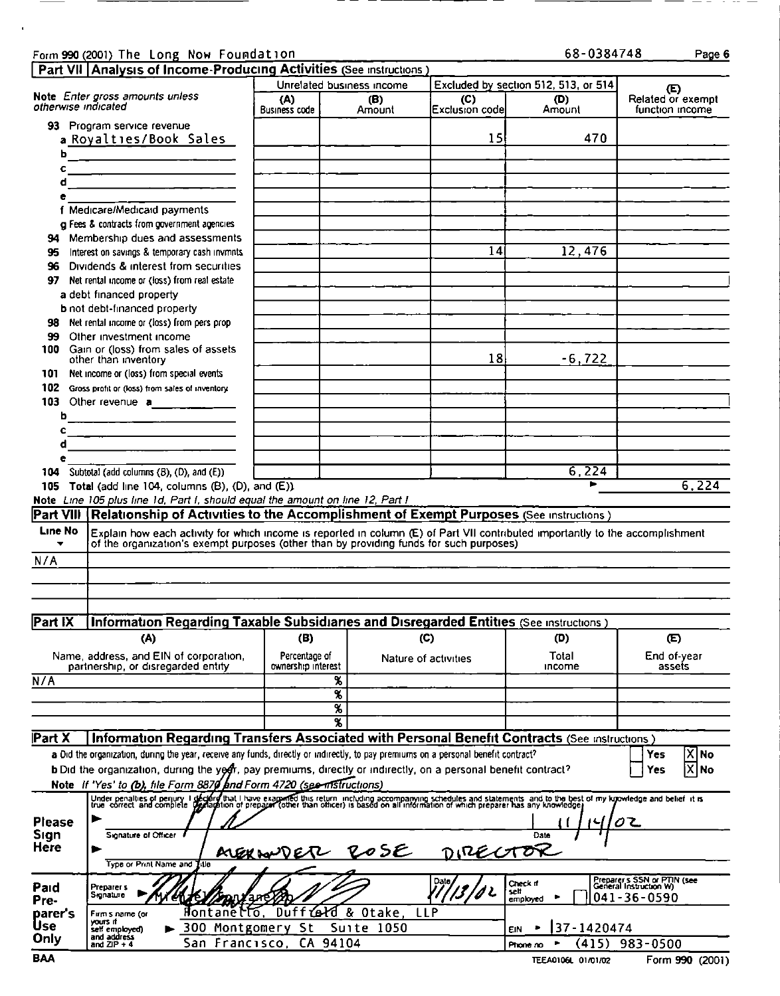### Form 990 (2001) The Long Now Foundation 68-0384748 Page 6

 $\blacksquare$ 

| 68-0384748 |  |
|------------|--|
|------------|--|

|                                       | Form 990 (2001) The Long Now Foundation                                                                                                                                                                                                                                                                                                                                                                                         |                                     |                                                                    |                       | 68-0384748                                            | Page 6                                                                     |
|---------------------------------------|---------------------------------------------------------------------------------------------------------------------------------------------------------------------------------------------------------------------------------------------------------------------------------------------------------------------------------------------------------------------------------------------------------------------------------|-------------------------------------|--------------------------------------------------------------------|-----------------------|-------------------------------------------------------|----------------------------------------------------------------------------|
| otherwise indicated                   | Part VII   Analysis of Income-Producing Activities (See instructions)<br>Note Enter gross amounts unless<br>93 Program service revenue                                                                                                                                                                                                                                                                                          | (A)<br><b>Business code</b>         | Unrelated business income<br>(B)<br>Amount                         | (C)<br>Exclusion code | Excluded by section 512, 513, or 514<br>(D)<br>Amount | (E)<br>Related or exempt<br>function income                                |
| ы<br>c<br>đ                           | a Royalties/Book Sales<br><u> 1980 - Jan Barnett, mars et al. (</u>                                                                                                                                                                                                                                                                                                                                                             |                                     |                                                                    | 15                    | 470                                                   |                                                                            |
| e<br>95                               | f Medicare/Medicaid payments<br>g Fees & contracts from government agencies<br>94 Membership dues and assessments<br>Interest on savings & temporary cash invmnts                                                                                                                                                                                                                                                               |                                     |                                                                    | 14                    | 12,476                                                |                                                                            |
| 96<br>97<br>98                        | Dividends & interest from securities<br>Net rental income or (loss) from real estate<br>a debt financed property<br><b>b</b> not debt-financed property<br>Net rental income or (loss) from pers prop                                                                                                                                                                                                                           |                                     |                                                                    |                       |                                                       |                                                                            |
| 99<br>100<br>101<br>102               | Other investment income<br>Gain or (loss) from sales of assets<br>other than inventory<br>Net income or (loss) from special events<br>Gross profit or (loss) from sales of inventory                                                                                                                                                                                                                                            |                                     |                                                                    | 18                    | $-6, 722$                                             |                                                                            |
| b<br>c<br>d                           | 103 Other revenue a                                                                                                                                                                                                                                                                                                                                                                                                             |                                     |                                                                    |                       |                                                       |                                                                            |
| 104                                   | Subtotal (add columns (B), (D), and (E))<br>105 Total (add line 104, columns $(B)$ , $(D)$ , and $(E)$ )<br>Note Line 105 plus line 1d, Part I, should equal the amount on line 12, Part I<br>Part VIII Relationship of Activities to the Accomplishment of Exempt Purposes (See instructions)                                                                                                                                  |                                     |                                                                    |                       | 6,224                                                 | 6,224                                                                      |
| Line No<br>▼<br>N/A                   | Explain how each activity for which income is reported in column (E) of Part VII contributed importantly to the accomplishment of the organization's exempt purposes (other than by providing funds for such purposes)                                                                                                                                                                                                          |                                     |                                                                    |                       |                                                       |                                                                            |
| Part IX                               | Information Regarding Taxable Subsidiaries and Disregarded Entities (See instructions)<br>(A)                                                                                                                                                                                                                                                                                                                                   | (B)                                 |                                                                    | (C)                   | (D)                                                   | $\left( E\right)$                                                          |
| N/A                                   | Name, address, and EIN of corporation,<br>partnership, or disregarded entity                                                                                                                                                                                                                                                                                                                                                    | Percentage of<br>ownership interest | Х.<br>$\overline{\mathbf{x}}$<br>$\overline{\mathbf{x}}$           | Nature of activities  | Total<br><b>Income</b>                                | End of-year<br>assets                                                      |
| Part X                                | Information Regarding Transfers Associated with Personal Benefit Contracts (See instructions)<br>a Did the organization, during the year, receive any funds, directly or indirectly, to pay premiums on a personal benefit contract?<br>b Did the organization, during the year, pay premiums, directly or indirectly, on a personal benefit contract?<br>Note If 'Yes' to (b), file Form 8870 and Form 4720 (see mistructions) |                                     | $\overline{\mathbf{x}}$                                            |                       |                                                       | X No<br><b>Yes</b><br>X No<br>Yes                                          |
| <b>Please</b><br>Sign<br>Here         | Under penalties of perjury I declare that I have examined this return including accompanying schedules and statements and to the best of my knowledge and belief it is<br>Signature of Officer                                                                                                                                                                                                                                  |                                     |                                                                    |                       | Date                                                  | OΖ                                                                         |
| Paid<br>Pre-<br>parer's<br><b>Use</b> | Type or Print Name and Title<br>Preparer s<br>Signature<br>en.<br>Firm's name (or<br>yours if<br>300 Montgomery St                                                                                                                                                                                                                                                                                                              |                                     | AVERNOVER ROSE<br>Hontanetto, Duff Celd & Otake, LLP<br>Suite 1050 | DIRECTO<br>Date,      | Check if<br>self<br>employed<br>37-1420474            | Preparer's SSN or PTIN (see<br>General Instruction W)<br>$041 - 36 - 0590$ |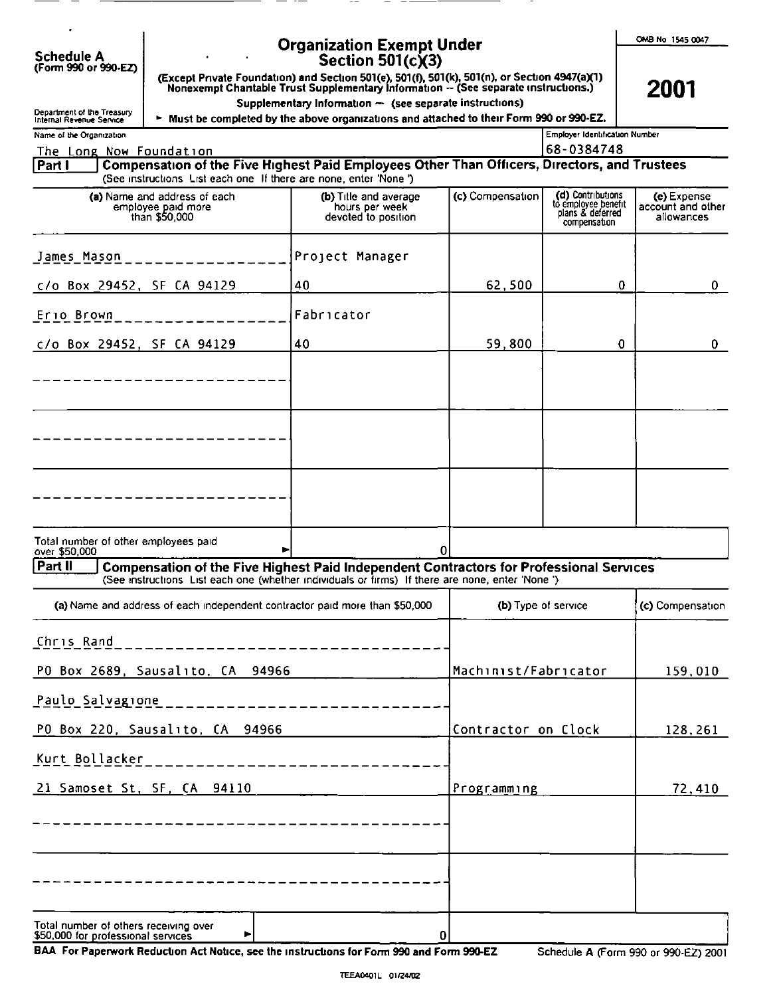| <b>Organization Exempt Under</b><br><b>Schedule A</b><br>Section 501(c)(3)<br>(Form 990 or 990-EZ)                                                                                                                                                                            | OMB No 1545 0047                               |
|-------------------------------------------------------------------------------------------------------------------------------------------------------------------------------------------------------------------------------------------------------------------------------|------------------------------------------------|
| (Except Private Foundation) and Section 501(e), 501(f), 501(k), 501(n), or Section 4947(a)(1)<br>Nonexempt Chantable Trust Supplementary Information -- (See separate instructions.)<br>Supplementary Information - (see separate instructions)<br>Department of the Treasury | 2001                                           |
| ► Must be completed by the above organizations and attached to their Form 990 or 990-EZ.<br>Internal Revenue Service<br>Employer Identification Number<br>Name of the Organization<br>68-0384748<br>The Long Now Foundation                                                   |                                                |
| Compensation of the Five Highest Paid Employees Other Than Officers, Directors, and Trustees<br>Part I<br>(See instructions List each one If there are none, enter 'None')                                                                                                    |                                                |
| (d) Contributions<br>to employee benefit<br>(c) Compensation<br>(a) Name and address of each<br>(b) Title and average<br>employee paid more<br>hours per week<br>plans & deferred<br>than \$50,000<br>devoted to position<br>compensation                                     | (e) Expense<br>account and other<br>allowances |
| Project Manager<br>James Mason                                                                                                                                                                                                                                                |                                                |
| c/o Box 29452, SF CA 94129<br>62,500<br>40                                                                                                                                                                                                                                    | $\mathbf{0}$<br>$\mathbf{0}$                   |
| Fabricator<br>Erio Brown<br>c/o Box 29452, SF CA 94129<br>40<br>59,800                                                                                                                                                                                                        | 0<br>$\mathbf{0}$                              |
| ---------------                                                                                                                                                                                                                                                               |                                                |
|                                                                                                                                                                                                                                                                               |                                                |
|                                                                                                                                                                                                                                                                               |                                                |
|                                                                                                                                                                                                                                                                               |                                                |
|                                                                                                                                                                                                                                                                               |                                                |
| Total number of other employees paid<br>0<br>over \$50,000<br>Part II<br>Compensation of the Five Highest Paid Independent Contractors for Professional Services                                                                                                              |                                                |
| (See instructions List each one (whether individuals or firms) If there are none, enter 'None')<br>(a) Name and address of each independent contractor paid more than \$50,000<br>(b) Type of service                                                                         | (c) Compensation                               |
| Chris Rand<br>_____________________                                                                                                                                                                                                                                           |                                                |
| PO Box 2689, Sausalito, CA 94966<br>Machinist/Fabricator                                                                                                                                                                                                                      | 159,010                                        |
| Paulo Salvagione<br>______________________<br>PO Box 220, Sausalito, CA 94966<br>Contractor on Clock                                                                                                                                                                          |                                                |
|                                                                                                                                                                                                                                                                               | 128,261                                        |
| Kurt Bollacker                                                                                                                                                                                                                                                                |                                                |
| 21 Samoset St, SF, CA 94110<br>Programming                                                                                                                                                                                                                                    | [72, 410]                                      |
| -----------                                                                                                                                                                                                                                                                   |                                                |
| -----------                                                                                                                                                                                                                                                                   |                                                |

BAA For Paperwork Reduction Act Notice, see the instructions for Form 990 and Form 990-EZ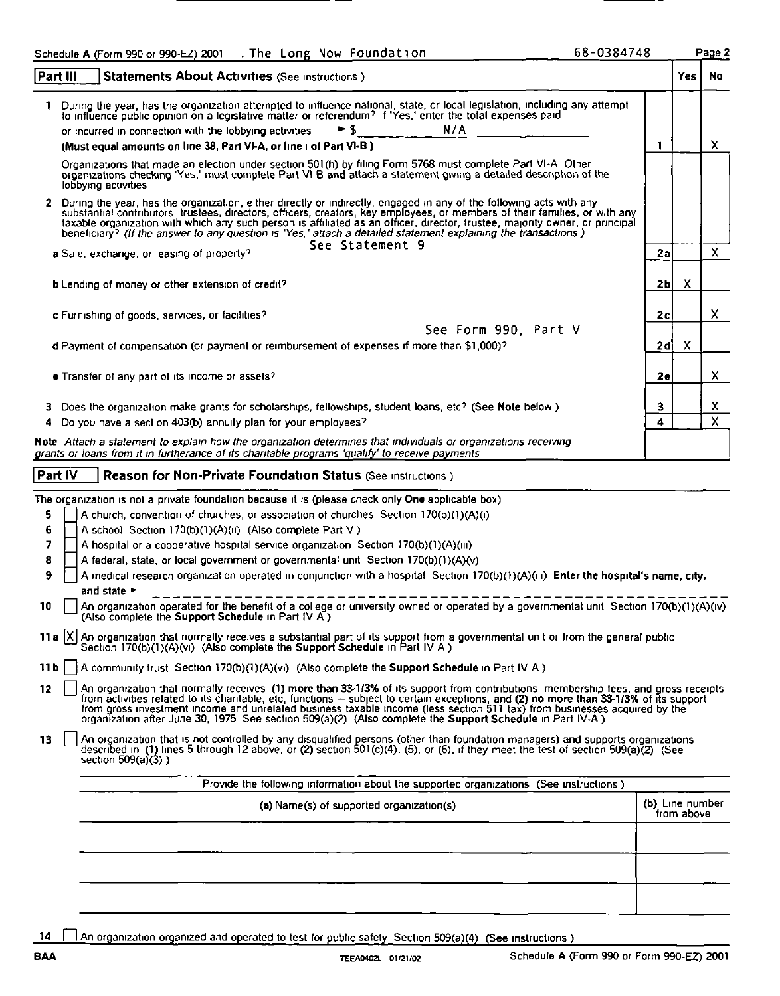|                                          |                                 | 68-0384748<br>Schedule A (Form 990 or 990-EZ) 2001 . The Long Now Foundation                                                                                                                                                                                                                                                                                                                                                                                                          |                      |            | Page 2 |
|------------------------------------------|---------------------------------|---------------------------------------------------------------------------------------------------------------------------------------------------------------------------------------------------------------------------------------------------------------------------------------------------------------------------------------------------------------------------------------------------------------------------------------------------------------------------------------|----------------------|------------|--------|
|                                          | Part III                        | <b>Statements About Activities (See instructions)</b><br>1 During the year, has the organization attempted to influence national, state, or local legislation, including any attempt to influence public opinion on a legislative matter or referendum? If 'Yes,' enter the total expen                                                                                                                                                                                               |                      | Yes.       | No     |
|                                          |                                 | N/A<br>► \$<br>or incurred in connection with the lobbying activities.<br>(Must equal amounts on line 38, Part VI-A, or line i of Part VI-B)                                                                                                                                                                                                                                                                                                                                          | 1                    |            | x      |
|                                          | lobbying activities             | Organizations that made an election under section 501(h) by filing Form 5768 must complete Part VI-A. Other organizations checking 'Yes,' must complete Part VI B and attach a statement giving a detailed description of the<br>2 During the year, has the organization, either directly or indirectly, engaged in any of the following acts with any<br>substantial contributors, trustees, directors, officers, creators, key employees, or members of their families, or with any |                      |            |        |
|                                          |                                 | based original and with which any such person is affiliated as an officer, director, trustee, majority owner, or principal<br>beneficiary? (If the answer to any question is 'Yes,' attach a detailed statement explaining the tr<br>See Statement 9<br>a Sale, exchange, or leasing of property?                                                                                                                                                                                     | 2a                   |            | x      |
|                                          |                                 | <b>b</b> Lending of money or other extension of credit?<br>c Furnishing of goods, services, or facilities?                                                                                                                                                                                                                                                                                                                                                                            | 2 <sub>b</sub><br>2с | X          | X      |
|                                          |                                 | See Form 990, Part V<br>d Payment of compensation (or payment or reimbursement of expenses if more than \$1,000)?<br>e Transfer of any part of its income or assets?                                                                                                                                                                                                                                                                                                                  | 2di<br>2e            | X          | X      |
| 4                                        |                                 | 3 Does the organization make grants for scholarships, fellowships, student loans, etc? (See Note below)<br>Do you have a section 403(b) annuity plan for your employees?                                                                                                                                                                                                                                                                                                              | $\mathbf{3}$<br>4    |            | X<br>X |
|                                          | Part IV                         | Note Attach a statement to explain how the organization determines that individuals or organizations receiving<br>grants or loans from it in furtherance of its charitable programs 'qualify' to receive payments<br>Reason for Non-Private Foundation Status (See instructions)                                                                                                                                                                                                      |                      |            |        |
| 5<br>6                                   |                                 | The organization is not a private foundation because it is (please check only One applicable box)<br>A church, convention of churches, or association of churches Section 170(b)(1)(A)(i)<br>A school Section 170(b)(1)(A)(ii) (Also complete Part V)                                                                                                                                                                                                                                 |                      |            |        |
| 7<br>8<br>9                              |                                 | A hospital or a cooperative hospital service organization Section 170(b)(1)(A)(iii)<br>A federal, state, or local government or governmental unit Section 170(b)(1)(A)(v)<br>A medical research organization operated in conjunction with a hospital Section 170(b)(1)(A)(iii) Enter the hospital's name, city,                                                                                                                                                                       |                      |            |        |
| 10                                       | and state $\blacktriangleright$ | An organization operated for the benefit of a college or university owned or operated by a governmental unit Section 170(b)(1)(A)(iv)<br>(Also complete the Support Schedule in Part IV A)                                                                                                                                                                                                                                                                                            |                      |            |        |
| $11b$ $\vert$ $\vert$<br>12 <sub>2</sub> |                                 | 11a $[X]$ An organization that normally receives a substantial part of its support from a governmental unit or from the general public<br>Section 170(b)(1)(A)(vi) (Also complete the <b>Support Schedule</b> in Part IV A)<br>A community trust Section 170(b)(1)(A)(vi) (Also complete the Support Schedule in Part IV A)                                                                                                                                                           |                      |            |        |
| 13                                       | section $509(a)(3)$ )           | An organization that normally receives (1) more than 33-1/3% of its support from contributions, membership fees, and gross receipts from activities related to its charitable, etc, functions – subject to certain exceptions<br>An organization that is not controlled by any disqualified persons (other than foundation managers) and supports organizations described in (1) lines 5 through 12 above, or (2) section 501(c)(4), (5), or (6), if they meet                        |                      |            |        |
|                                          |                                 |                                                                                                                                                                                                                                                                                                                                                                                                                                                                                       |                      |            |        |
|                                          |                                 | Provide the following information about the supported organizations (See instructions)<br>(a) Name(s) of supported organization(s)                                                                                                                                                                                                                                                                                                                                                    | (b) Line number      | from above |        |
|                                          |                                 |                                                                                                                                                                                                                                                                                                                                                                                                                                                                                       |                      |            |        |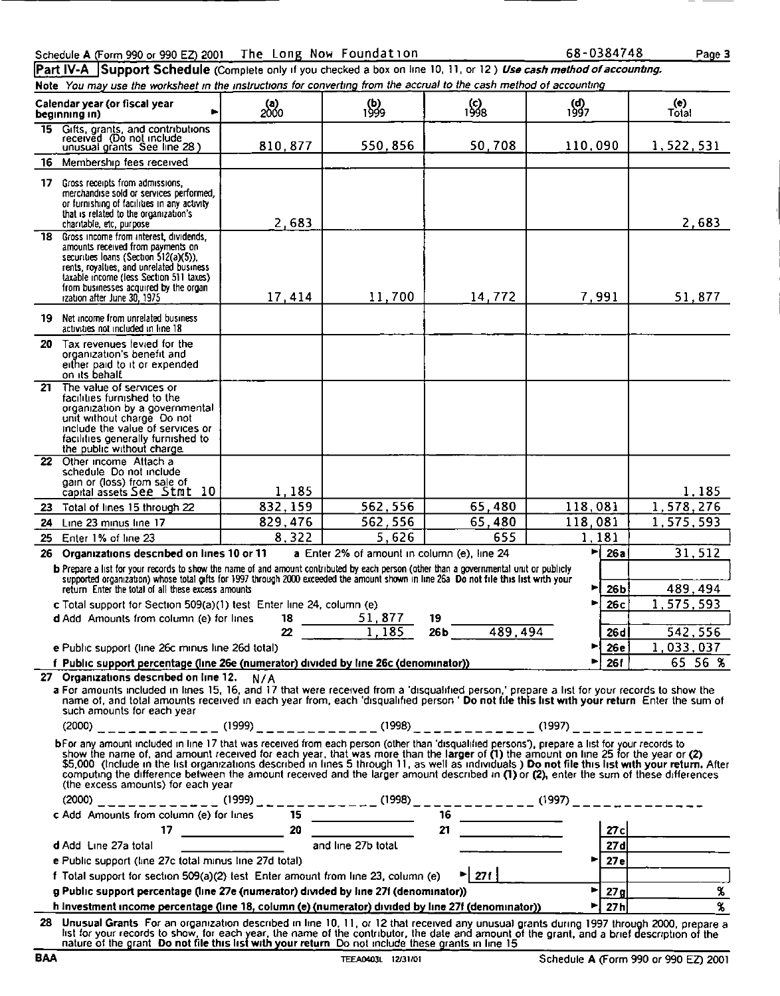|     | Schedule A (Form 990 or 990 EZ) 2001 The Long Now Foundation                                                                                                                                                                                                                                                                                                                                                                                                                                                                                                                                                                                                                                                                                 |                              |                                                                                           |                           | 68-0384748                                                | Page 3                                                              |
|-----|----------------------------------------------------------------------------------------------------------------------------------------------------------------------------------------------------------------------------------------------------------------------------------------------------------------------------------------------------------------------------------------------------------------------------------------------------------------------------------------------------------------------------------------------------------------------------------------------------------------------------------------------------------------------------------------------------------------------------------------------|------------------------------|-------------------------------------------------------------------------------------------|---------------------------|-----------------------------------------------------------|---------------------------------------------------------------------|
|     | Part IV-A Support Schedule (Complete only if you checked a box on line 10, 11, or 12) Use cash method of accounting.<br>Note You may use the worksheet in the instructions for converting from the accrual to the cash method of accounting<br>Calendar year (or fiscal year<br>beginning in)                                                                                                                                                                                                                                                                                                                                                                                                                                                | $^{(a)}_{2000}$              | $\frac{1}{1999}$                                                                          | $^{1998}$                 | (d)<br>1997                                               | (e)<br>Total                                                        |
| 16. | 15 Gifts, grants, and contributions<br>received (Do not include<br>unusual grants See line 28)<br>Membership fees received                                                                                                                                                                                                                                                                                                                                                                                                                                                                                                                                                                                                                   | 810,877                      | 550,856                                                                                   | 50.708                    | 110,090                                                   | 1,522,531                                                           |
| 18. | 17 Gross receipts from admissions,<br>merchandise sold or services performed,<br>or furnishing of facilities in any activity<br>that is related to the organization's<br>charitable, etc. purpose<br>Gross income from interest, dividends,                                                                                                                                                                                                                                                                                                                                                                                                                                                                                                  | 2,683                        |                                                                                           |                           |                                                           | 2,683                                                               |
|     | amounts received from payments on<br>securities loans (Section 512(a)(5)).<br>rents, royalties, and unrelated business<br>taxable income (less Section 511 taxes)<br>from businesses acquired by the organ<br>rzation after June 30, 1975                                                                                                                                                                                                                                                                                                                                                                                                                                                                                                    | 17,414                       | 11,700                                                                                    | 14,772                    | 7,991                                                     | 51,877                                                              |
|     | 19 Net income from unrelated business<br>activities not included in line 18<br>20 Tax revenues levied for the<br>organization's benefit and<br>either paid to it or expended<br>on its behalf.                                                                                                                                                                                                                                                                                                                                                                                                                                                                                                                                               |                              |                                                                                           |                           |                                                           |                                                                     |
| 21  | The value of services or<br>facilities furnished to the<br>organization by a governmental<br>unit without charge Do not<br>include the value of services or<br>facilities generally furnished to                                                                                                                                                                                                                                                                                                                                                                                                                                                                                                                                             |                              |                                                                                           |                           |                                                           |                                                                     |
|     | the public without charge.<br>22 Other income Attach a<br>schedule Do not include<br>gain or (loss) from sale of<br>capital assets See Stmt 10                                                                                                                                                                                                                                                                                                                                                                                                                                                                                                                                                                                               | 1,185                        |                                                                                           |                           |                                                           | 1,185                                                               |
| 23. | Total of lines 15 through 22<br>24 Line 23 minus line 17<br>25 Enter 1% of line 23<br>26 Organizations described on lines 10 or 11                                                                                                                                                                                                                                                                                                                                                                                                                                                                                                                                                                                                           | 832, 159<br>829,476<br>8,322 | 562,556<br>562,556<br>$\overline{5}$ , 626<br>a Enter 2% of amount in column (e), line 24 | 65,480<br>65,480<br>655   | 118,081<br>118,081<br>1,181<br>$\blacktriangleright$ 26al | 1,578,276<br>1,575,593<br>31,512                                    |
|     | b Prepare a list for your records to show the name of and amount contributed by each person (other than a governmental unit or publicly<br>supported organization) whose total gifts for 1997 through 2000 exceeded the amount shown in line 26a Do not file this list with your<br>return Enter the total of all these excess amounts<br>c Total support for Section 509(a)(1) test Enter line 24, column (e)<br>d Add Amounts from column (e) for lines                                                                                                                                                                                                                                                                                    |                              | 19                                                                                        |                           | ►<br>26 <sub>b</sub><br>26 с                              | 489,494<br>1,575,593                                                |
|     | e Public support (line 26c minus line 26d total)<br>f Public support percentage (line 26e (numerator) divided by line 26c (denominator))<br>27 Organizations described on line 12. N/A<br>a For amounts included in lines 15, 16, and 17 that were received from a 'disqualified person,' prepare a list for your records to show the                                                                                                                                                                                                                                                                                                                                                                                                        |                              | $\frac{18}{22}$ $\frac{51,877}{1,185}$                                                    | $26b$ 489,494             | 26d<br>26 e l<br>►<br><b>261</b>                          | 542,556<br>1,033,037<br>65 56 %                                     |
|     | name of, and total amounts received in each year from, each 'disqualified person' Do not file this list with your return Enter the sum of<br>such amounts for each year<br>bFor any amount included in line 17 that was received from each person (other than 'disqualified persons'), prepare a list for your records to<br>show the name of, and amount received for each year, that was more than the larger of (1) the amount on line 25 for the year or (2) \$5,000 (include in the list organizations described in lines 5 through 11, as well as indi<br>computing the difference between the amount received and the larger amount described in (1) or (2), enter the sum of these differences<br>(the excess amounts) for each year |                              |                                                                                           |                           |                                                           |                                                                     |
|     |                                                                                                                                                                                                                                                                                                                                                                                                                                                                                                                                                                                                                                                                                                                                              |                              |                                                                                           |                           |                                                           |                                                                     |
|     | $\frac{(2000)}{276}$<br>c Add Amounts from column (e) for lines 15<br>d Add Line 27a total 27a total 27a total 27b total 27b total 27b total 27c<br>e Public support (line 27c total minus line 27d total)<br>f Total support for section 509(a)(2) test Enter amount from line 23, column (e)<br>g Public support percentage (line 27e (numerator) divided by line 27f (denominator))<br>h Investment income percentage (line 18, column (e) (numerator) divided by line 27f (denominator))                                                                                                                                                                                                                                                 |                              |                                                                                           | $\blacktriangleright$ 271 | $\blacktriangleright$ 27g<br>27 <sub>h</sub><br>Þ         | $\overline{27e}$<br>$\pmb{\mathsf{x}}$<br>$\boldsymbol{\mathrm{s}}$ |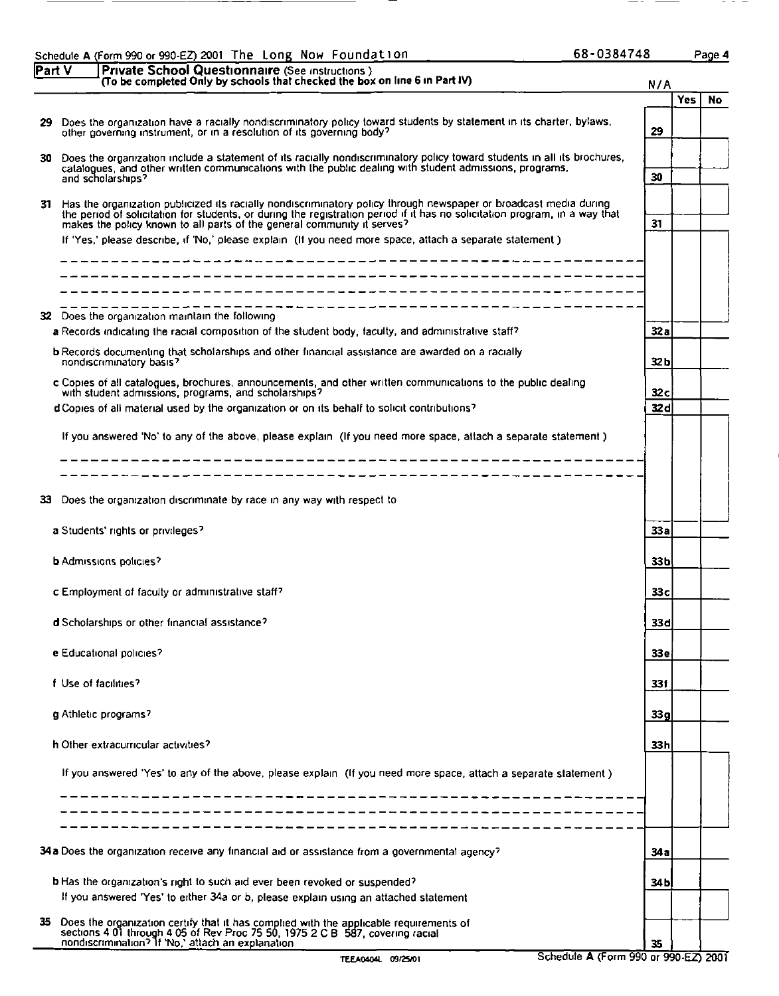| 68-0384748 |  |
|------------|--|
|------------|--|

|               | Schedule A (Form 990 or 990-EZ) 2001 The Long Now Foundation | 68-0384748 | Page 4 |
|---------------|--------------------------------------------------------------|------------|--------|
| <b>Part V</b> | <b>Private School Questionnaire (See instructions)</b>       |            |        |

|    | 68-0384748<br>Schedule A (Form 990 or 990-EZ) 2001 The Long Now Foundation<br>Part V                                                                                                                                                                                                                                                                                                                                                       |                         |     | Page 4    |
|----|--------------------------------------------------------------------------------------------------------------------------------------------------------------------------------------------------------------------------------------------------------------------------------------------------------------------------------------------------------------------------------------------------------------------------------------------|-------------------------|-----|-----------|
|    | Private School Questionnaire (See instructions)<br>(To be completed Only by schools that checked the box on line 6 in Part IV)<br>29 Does the organization have a racially nondiscriminatory policy toward students by statement in its charter, bylaws, other governing instrument, or in a resolution of its governing body?                                                                                                             | N/A<br>29               | Yes | <b>No</b> |
| 30 | Does the organization include a statement of its racially nondiscriminatory policy toward students in all its brochures,<br>catalogues, and other written communications with the public dealing with student admissions, programs,<br>and scholarships?                                                                                                                                                                                   | 30                      |     |           |
|    | 31 Has the organization publicized its racially nondiscriminatory policy through newspaper or broadcast media during<br>the period of solicitation for students, or during the registration period if it has no solicitation program, in a way that<br>makes the policy known to all parts of the general community it serves?<br>If 'Yes,' please describe, if 'No,' please explain (If you need more space, attach a separate statement) | 31                      |     |           |
|    | _________ <b>_______________</b> ____                                                                                                                                                                                                                                                                                                                                                                                                      |                         |     |           |
|    | 32 Does the organization maintain the following<br>a Records indicating the racial composition of the student body, faculty, and administrative staff?<br>b Records documenting that scholarships and other financial assistance are awarded on a racially<br>nondiscriminatory basis?                                                                                                                                                     | 32a<br>32 <sub>b</sub>  |     |           |
|    | c Copies of all catalogues, brochures, announcements, and other written communications to the public dealing with student admissions, programs, and scholarships?<br>d Copies of all material used by the organization or on its behalf to solicit contributions?                                                                                                                                                                          | 32 <sub>c</sub><br>32 d |     |           |
|    | If you answered 'No' to any of the above, please explain (If you need more space, attach a separate statement)<br>_____________________                                                                                                                                                                                                                                                                                                    |                         |     |           |
| 33 | Does the organization discriminate by race in any way with respect to<br>a Students' rights or privileges?                                                                                                                                                                                                                                                                                                                                 | 33a                     |     |           |
|    | <b>b</b> Admissions policies?                                                                                                                                                                                                                                                                                                                                                                                                              | 33b                     |     |           |
|    | c Employment of faculty or administrative staff?<br>d Scholarships or other financial assistance?                                                                                                                                                                                                                                                                                                                                          | 33 c<br>33 d            |     |           |
|    | e Educational policies?                                                                                                                                                                                                                                                                                                                                                                                                                    | 33 e                    |     |           |
|    | f Use of facilities?                                                                                                                                                                                                                                                                                                                                                                                                                       | 331                     |     |           |
|    | g Athletic programs?<br>h Other extracurricular activities?                                                                                                                                                                                                                                                                                                                                                                                | 33g<br>33h              |     |           |
|    | If you answered 'Yes' to any of the above, please explain (If you need more space, attach a separate statement)                                                                                                                                                                                                                                                                                                                            |                         |     |           |
|    | -----------------------<br>34a Does the organization receive any financial aid or assistance from a governmental agency?                                                                                                                                                                                                                                                                                                                   | 34a                     |     |           |
|    | b Has the organization's right to such aid ever been revoked or suspended?<br>If you answered 'Yes' to either 34a or b, please explain using an attached statement                                                                                                                                                                                                                                                                         | 34 <sub>b</sub>         |     |           |
| 35 | Does the organization certify that it has complied with the applicable requirements of sections 4.01 through 4.05 of Rev Proc 75.50, 1975 2.0 B 587, covering racial nondiscrimination? If 'No,' attach an explanation<br>Schedule A (Form 990 or 990-EZ) 2001<br>TEEA0404L 09/25/01                                                                                                                                                       | 35                      |     |           |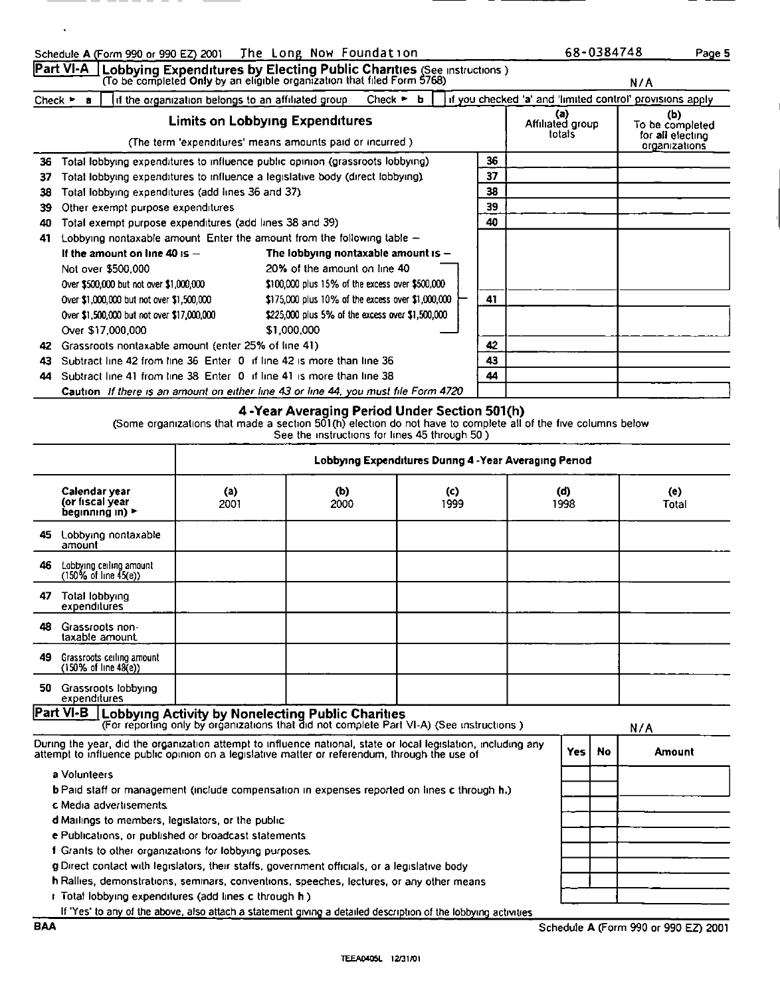|                | Schedule A (Form 990 or 990 EZ) 2001 The Long Now Foundation<br>Part VI-A                                                                                                                                             | Lobbying Expenditures by Electing Public Charities (See instructions) (To be completed Only by an eligible organization that filed Form 5768) |                                                                                                                                      |             |                | 68-0384748                                                | Page 5<br>N/A                                        |
|----------------|-----------------------------------------------------------------------------------------------------------------------------------------------------------------------------------------------------------------------|-----------------------------------------------------------------------------------------------------------------------------------------------|--------------------------------------------------------------------------------------------------------------------------------------|-------------|----------------|-----------------------------------------------------------|------------------------------------------------------|
|                | Check $\triangleright$ a                                                                                                                                                                                              | if the organization belongs to an affiliated group                                                                                            | Check $\blacktriangleright$ <b>b</b>                                                                                                 |             |                | if you checked 'a' and 'limited control' provisions apply | (b)                                                  |
|                |                                                                                                                                                                                                                       | <b>Limits on Lobbying Expenditures</b><br>(The term 'expenditures' means amounts paid or incurred.)                                           |                                                                                                                                      |             |                | (a)<br>Affiliated group<br>totals                         | To be completed<br>for all electing<br>organizations |
| 36<br>37<br>38 | Total lobbying expenditures to influence public opinion (grassroots lobbying)<br>Total lobbying expenditures to influence a legislative body (direct lobbying).<br>Total lobbying expenditures (add lines 36 and 37). |                                                                                                                                               |                                                                                                                                      |             | 36<br>37<br>38 |                                                           |                                                      |
| 39<br>40       | Other exempt purpose expenditures<br>Total exempt purpose expenditures (add lines 38 and 39)                                                                                                                          |                                                                                                                                               |                                                                                                                                      |             | 39<br>40       |                                                           |                                                      |
| 41             | Lobbying nontaxable amount. Enter the amount from the following table $+$<br>If the amount on line 40 is $-$                                                                                                          |                                                                                                                                               | The lobbying nontaxable amount is -                                                                                                  |             |                |                                                           |                                                      |
|                | Not over \$500,000<br>Over \$500,000 but not over \$1,000,000<br>Over \$1,000,000 but not over \$1,500,000                                                                                                            |                                                                                                                                               | 20% of the amount on line 40<br>\$100,000 plus 15% of the excess over \$500,000<br>\$175,000 plus 10% of the excess over \$1,000,000 |             | 41             |                                                           |                                                      |
|                | Over \$1,500,000 but not over \$17,000,000<br>Over \$17,000,000                                                                                                                                                       |                                                                                                                                               | \$225,000 plus 5% of the excess over \$1,500,000<br>\$1,000,000                                                                      |             |                |                                                           |                                                      |
| 43             | 42 Grassroots nontaxable amount (enter 25% of line 41)<br>Subtract line 42 from line 36 Enter 0 if line 42 is more than line 36                                                                                       |                                                                                                                                               |                                                                                                                                      |             | 42<br>43       |                                                           |                                                      |
|                | 44 Subtract line 41 from line 38 Enter 0 if line 41 is more than line 38<br>Caution If there is an amount on either line 43 or line 44, you must file Form 4720                                                       |                                                                                                                                               |                                                                                                                                      |             | 44             |                                                           |                                                      |
|                |                                                                                                                                                                                                                       | (Some organizations that made a section 501(h) election do not have to complete all of the five columns below                                 | 4-Year Averaging Period Under Section 501(h)<br>See the instructions for lines 45 through 50)                                        |             |                |                                                           |                                                      |
|                |                                                                                                                                                                                                                       |                                                                                                                                               |                                                                                                                                      |             |                | Lobbying Expenditures Dunng 4 - Year Averaging Penod      |                                                      |
|                | Calendar year<br>(or fiscal year<br>beginning in) >                                                                                                                                                                   | (a)<br>2001                                                                                                                                   | (b)<br>2000                                                                                                                          | (c)<br>1999 |                | (d)<br>1998                                               | $\left($ e $\right)$<br>Total                        |
|                |                                                                                                                                                                                                                       |                                                                                                                                               |                                                                                                                                      |             |                |                                                           |                                                      |
|                | 45 Lobbying nontaxable<br>amount                                                                                                                                                                                      |                                                                                                                                               |                                                                                                                                      |             |                |                                                           |                                                      |
|                | 46 Lobbying ceiling amount<br>$(150\% \text{ of line } 45(e))$                                                                                                                                                        |                                                                                                                                               |                                                                                                                                      |             |                |                                                           |                                                      |
|                | 47 Total lobbying<br>expenditures                                                                                                                                                                                     |                                                                                                                                               |                                                                                                                                      |             |                |                                                           |                                                      |
|                | 48 Grassroots non-<br>taxable amount<br>49 Grassroots ceiling amount                                                                                                                                                  |                                                                                                                                               |                                                                                                                                      |             |                |                                                           |                                                      |
|                | (150% of line 48(e))<br>50 Grassroots lobbying<br>expenditures                                                                                                                                                        |                                                                                                                                               |                                                                                                                                      |             |                |                                                           |                                                      |

### 4 -Year Averaging Period Under Section 501(h)

|     |                                                                                                                                                                                                                 |                                                                                                                                                      | See the instructions for lines 45 through 50) |                                                      |             |           |                               |
|-----|-----------------------------------------------------------------------------------------------------------------------------------------------------------------------------------------------------------------|------------------------------------------------------------------------------------------------------------------------------------------------------|-----------------------------------------------|------------------------------------------------------|-------------|-----------|-------------------------------|
|     |                                                                                                                                                                                                                 |                                                                                                                                                      |                                               | Lobbying Expenditures Dunng 4 - Year Averaging Penod |             |           |                               |
|     | Calendar year<br>(or fıscal year<br>beainnina in) ►                                                                                                                                                             | (a)<br>2001                                                                                                                                          | (b)<br>2000                                   | $\mathbf{(c)}$<br>1999                               | (d)<br>1998 |           | $\left($ e $\right)$<br>Total |
|     | 45 Lobbying nontaxable<br>amount                                                                                                                                                                                |                                                                                                                                                      |                                               |                                                      |             |           |                               |
| 46  | Lobbying ceiling amount<br>$(150\% \text{ of line } 45(e))$                                                                                                                                                     |                                                                                                                                                      |                                               |                                                      |             |           |                               |
| 47  | Total lobbying<br>expenditures                                                                                                                                                                                  |                                                                                                                                                      |                                               |                                                      |             |           |                               |
| 48  | Grassroots non-<br>taxable amount.                                                                                                                                                                              |                                                                                                                                                      |                                               |                                                      |             |           |                               |
| 49  | Grassroots ceiling amount<br>(150% of line 48(e))                                                                                                                                                               |                                                                                                                                                      |                                               |                                                      |             |           |                               |
| 50. | Grassroots lobbying<br>expenditures                                                                                                                                                                             |                                                                                                                                                      |                                               |                                                      |             |           |                               |
|     | Part $VI-B$                                                                                                                                                                                                     | <b>Lobbying Activity by Nonelecting Public Charities</b><br>(For reporting only by organizations that did not complete Part VI-A) (See instructions) |                                               |                                                      |             |           | N/A                           |
|     | During the year, did the organization attempt to influence national, state or local legislation, including any<br>attempt to influence public opinion on a legislative matter or referendum, through the use of |                                                                                                                                                      |                                               |                                                      | <b>Yes</b>  | <b>No</b> | Amount                        |
|     | a Volunteers                                                                                                                                                                                                    |                                                                                                                                                      |                                               |                                                      |             |           |                               |
|     | <b>b</b> Paid staff or management (include compensation in expenses reported on lines c through <b>h.</b> )                                                                                                     |                                                                                                                                                      |                                               |                                                      |             |           |                               |
|     | c Media advertisements                                                                                                                                                                                          |                                                                                                                                                      |                                               |                                                      |             |           |                               |
|     | d Mailings to members, legislators, or the public                                                                                                                                                               |                                                                                                                                                      |                                               |                                                      |             |           |                               |
|     | e Publications, or published or broadcast statements                                                                                                                                                            |                                                                                                                                                      |                                               |                                                      |             |           |                               |
|     | f Grants to other organizations for lobbying purposes.                                                                                                                                                          |                                                                                                                                                      |                                               |                                                      |             |           |                               |
|     | g Direct contact with legislators, their staffs, government officials, or a legislative body                                                                                                                    |                                                                                                                                                      |                                               |                                                      |             |           |                               |
|     | h Rallies, demonstrations, seminars, conventions, speeches, lectures, or any other means                                                                                                                        |                                                                                                                                                      |                                               |                                                      |             |           |                               |
|     | F Total lobbying expenditures (add lines c through h)                                                                                                                                                           |                                                                                                                                                      |                                               |                                                      |             |           |                               |
|     | If 'Yes' to any of the above, also attach a statement giving a detailed description of the lobbying activities                                                                                                  |                                                                                                                                                      |                                               |                                                      |             |           |                               |

Schedule A (Form 990 or 990 EZ) 2001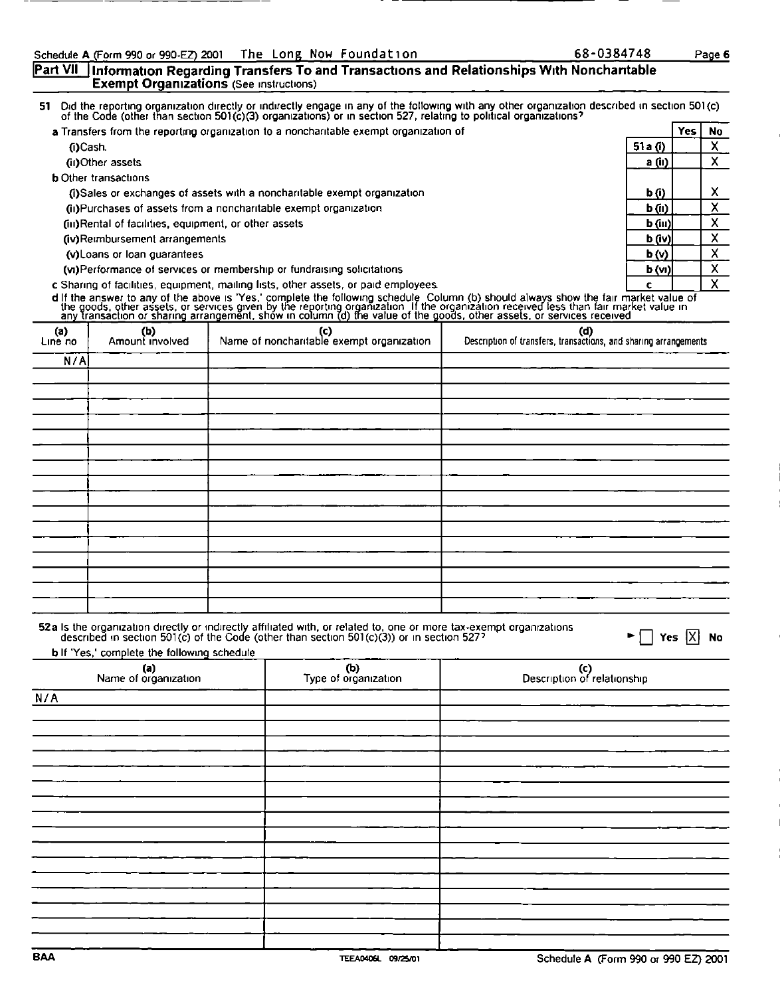### Part VII ] Information Regarding Transfers To and Transactions and Relationships With Nonchantable Exempt Organizations (See instructions)

51 Did the reporting organization directly or indirectly engage in any of the following with any other organization described in section 501(c)<br>of the Code (other than section 501(c)(3) organizations) or in section 527, re

| a Transfers from the reporting organization to a noncharitable exempt organization of |           | <b>Yes</b> | <b>No</b> |
|---------------------------------------------------------------------------------------|-----------|------------|-----------|
| (i)Cash                                                                               | 51a $(i)$ |            |           |
| (ii) Other assets                                                                     | a (ii)    |            | л         |
| <b>b</b> Other transactions                                                           |           |            |           |
| (i)Sales or exchanges of assets with a noncharitable exempt organization              | b (i)     |            |           |
| (ii)Purchases of assets from a noncharitable exempt organization                      | b(i)      |            |           |
| (iii)Rental of facilities, equipment, or other assets                                 | $b$ (iii) |            | х         |
| (iv)Reimbursement arrangements                                                        | b (iv)    |            |           |
| (v) Loans or loan guarantees                                                          | b(v)      |            |           |
| (vi)Performance of services or membership or fundraising solicitations                | b(w)      |            |           |
| c Sharing of facilities, equipment, mailing lists, other assets, or paid employees.   | c         |            |           |

|                |                                                                            |                                                                                                                                                                                                               | d If the answer to any of the above is 'Yes,' complete the following schedule Column (b) should always show the fair market value of the goods, other assets, or services given by the reporting organization. If the organiza |
|----------------|----------------------------------------------------------------------------|---------------------------------------------------------------------------------------------------------------------------------------------------------------------------------------------------------------|--------------------------------------------------------------------------------------------------------------------------------------------------------------------------------------------------------------------------------|
| (a)<br>Line no | (b)<br>Amount involved                                                     | (c)<br>Name of noncharitable exempt organization                                                                                                                                                              | (d)<br>Description of transfers, transactions, and sharing arrangements                                                                                                                                                        |
| N/A            |                                                                            |                                                                                                                                                                                                               |                                                                                                                                                                                                                                |
|                |                                                                            |                                                                                                                                                                                                               |                                                                                                                                                                                                                                |
|                |                                                                            |                                                                                                                                                                                                               |                                                                                                                                                                                                                                |
|                |                                                                            |                                                                                                                                                                                                               |                                                                                                                                                                                                                                |
|                |                                                                            |                                                                                                                                                                                                               |                                                                                                                                                                                                                                |
|                |                                                                            |                                                                                                                                                                                                               |                                                                                                                                                                                                                                |
|                |                                                                            |                                                                                                                                                                                                               |                                                                                                                                                                                                                                |
|                |                                                                            |                                                                                                                                                                                                               |                                                                                                                                                                                                                                |
|                |                                                                            |                                                                                                                                                                                                               |                                                                                                                                                                                                                                |
|                |                                                                            |                                                                                                                                                                                                               |                                                                                                                                                                                                                                |
|                |                                                                            |                                                                                                                                                                                                               |                                                                                                                                                                                                                                |
|                |                                                                            |                                                                                                                                                                                                               |                                                                                                                                                                                                                                |
|                |                                                                            |                                                                                                                                                                                                               |                                                                                                                                                                                                                                |
|                |                                                                            |                                                                                                                                                                                                               |                                                                                                                                                                                                                                |
|                |                                                                            |                                                                                                                                                                                                               |                                                                                                                                                                                                                                |
|                |                                                                            |                                                                                                                                                                                                               |                                                                                                                                                                                                                                |
|                |                                                                            | 52a Is the organization directly or indirectly affiliated with, or related to, one or more tax-exempt organizations described in section 501(c) of the Code (other than section 501(c)(3)) or in section 527? | Yes $ X $<br><b>No</b>                                                                                                                                                                                                         |
|                |                                                                            |                                                                                                                                                                                                               |                                                                                                                                                                                                                                |
|                | b If 'Yes,' complete the following schedule<br>(a)<br>Name of organization | (b)<br>Type of organization                                                                                                                                                                                   | $\left( c\right)$<br>Description of relationship                                                                                                                                                                               |
| N/A            |                                                                            |                                                                                                                                                                                                               |                                                                                                                                                                                                                                |
|                |                                                                            |                                                                                                                                                                                                               |                                                                                                                                                                                                                                |
|                |                                                                            |                                                                                                                                                                                                               |                                                                                                                                                                                                                                |
|                |                                                                            |                                                                                                                                                                                                               |                                                                                                                                                                                                                                |
|                |                                                                            |                                                                                                                                                                                                               |                                                                                                                                                                                                                                |
|                |                                                                            |                                                                                                                                                                                                               |                                                                                                                                                                                                                                |
|                |                                                                            |                                                                                                                                                                                                               |                                                                                                                                                                                                                                |
|                |                                                                            |                                                                                                                                                                                                               |                                                                                                                                                                                                                                |
|                |                                                                            |                                                                                                                                                                                                               |                                                                                                                                                                                                                                |
|                |                                                                            |                                                                                                                                                                                                               |                                                                                                                                                                                                                                |
|                |                                                                            |                                                                                                                                                                                                               |                                                                                                                                                                                                                                |
|                |                                                                            |                                                                                                                                                                                                               |                                                                                                                                                                                                                                |
|                |                                                                            |                                                                                                                                                                                                               |                                                                                                                                                                                                                                |
|                |                                                                            |                                                                                                                                                                                                               |                                                                                                                                                                                                                                |
|                |                                                                            |                                                                                                                                                                                                               |                                                                                                                                                                                                                                |
|                |                                                                            |                                                                                                                                                                                                               |                                                                                                                                                                                                                                |
| <b>BAA</b>     |                                                                            | TEEA0406L 09/25/01                                                                                                                                                                                            | Schedule A (Form 990 or 990 EZ) 2001                                                                                                                                                                                           |

| (a)<br>Name of organization | (b)<br>Type of organization | (c)<br>Description of relationship   |
|-----------------------------|-----------------------------|--------------------------------------|
| N/A                         |                             |                                      |
|                             |                             |                                      |
|                             |                             |                                      |
|                             |                             |                                      |
|                             |                             |                                      |
|                             |                             |                                      |
|                             |                             |                                      |
|                             |                             |                                      |
|                             |                             |                                      |
|                             |                             |                                      |
|                             |                             |                                      |
|                             |                             |                                      |
| <b>BAA</b>                  | TEEA0406L 09/25/01          | Schedule A (Form 990 or 990 EZ) 2001 |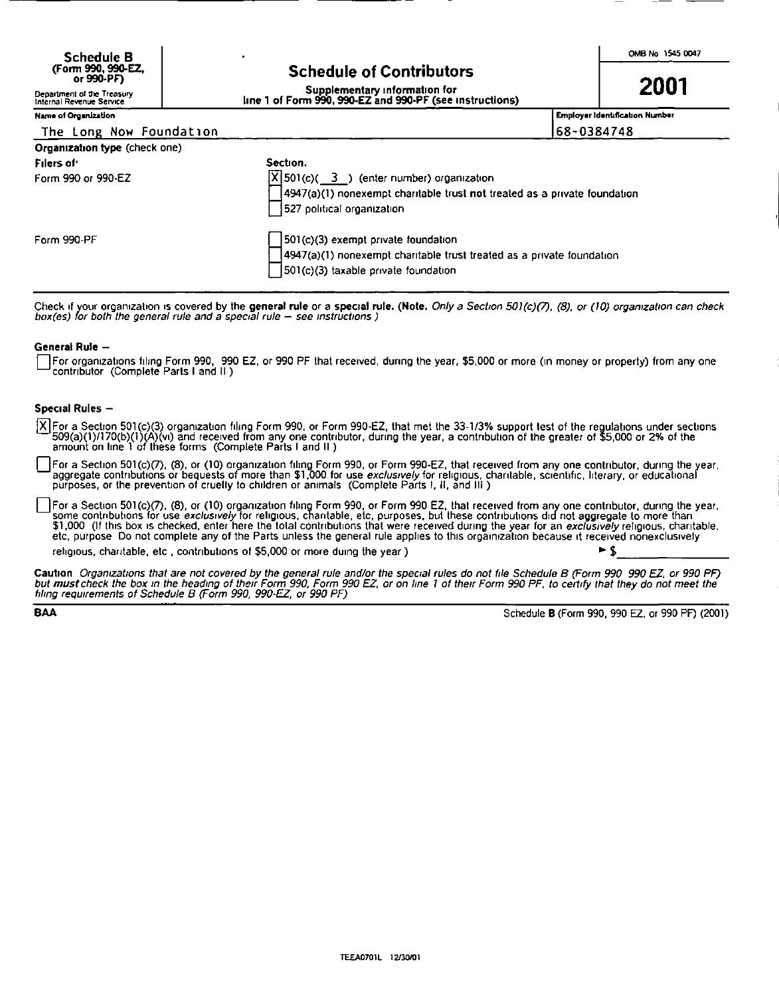| <b>Schedule B</b>                |                                 | OMB No 1545 0047 |
|----------------------------------|---------------------------------|------------------|
| (Form 990, 990-EZ,<br>or 990-PFT | <b>Schedule of Contributors</b> |                  |

### **Schedule of Contributors**

| Name of Organization | , Employer Identification Number |
|----------------------|----------------------------------|

|                                                                                                                                         | ٠                                                                                                                                                                                  | OMB No 1545 0047                       |
|-----------------------------------------------------------------------------------------------------------------------------------------|------------------------------------------------------------------------------------------------------------------------------------------------------------------------------------|----------------------------------------|
| Schedule B<br>(Form 990, 990-EZ,<br>or 990-PF)<br>Department of the Treasury<br>Internal Revenue Service<br><b>Name of Organization</b> | <b>Schedule of Contributors</b><br>Supplementary information for<br>Ine 1 of Form 990, 990-EZ and 990-PF (see instructions)                                                        | 2001<br>Employer Identification Number |
| The Long Now Foundation<br>Organization type (check one)                                                                                |                                                                                                                                                                                    | 68-0384748                             |
| Filers of:<br>Form 990 or 990-EZ                                                                                                        | Section.<br>$\sqrt{X}$ 501(c)( $\sqrt{3}$ ) (enter number) organization<br>4947(a)(1) nonexempt charitable trust not treated as a private foundation<br>527 political organization |                                        |
| Form 990-PF                                                                                                                             | 501(c)(3) exempt private foundation<br>4947(a)(1) nonexempt charitable trust treated as a private foundation<br>501(c)(3) taxable private foundation                               |                                        |

Check if your organization is covered by the general rule or a special rule. (Note. Only a Section 501(c)(7), (8), or (10) organization can check box(es) for both the general rule and a special rule — see instructions )

### General Rule —

[For organizations filing Form 990, 990 EZ, or 990 PF that received, during the year, \$5,000 or more (in money or property) from any one contributor (Complete Parts I and II)

### Special Rules —

 $\overline{X}$  For a Section 501(c)(3) organization filing Form 990, or Form 990-EZ, that met the 33-1/3% support test of the regulations under sections<br>509(a)(1)/170(b)(1)(A)(vi) and received from any one contributor, during t

For a Section 501(c)(7), (8), or (10) organization filing Form 990, or Form 990-EZ, that received from any one contributor, during the year, aggregate contributions or bequests of more than \$1,000 for use *exclusively* for

For a Section 501(c)(7), (8), or (10) organization filing Form 990, or Form 990 EZ, that received from any one contributior, during the year, some contributions for use *exclusively* for religious, charitable, etc, purpose

religious, charitable, etc., contributions of \$5,000 or more duing the year )  $\blacktriangleright$  \$

Caution. Organizations that are not covered by the general rule and/or the special rules do not file Schedule B (Form 990–990 EZ, or 990 PF)<br>but <mark>must</mark> check the box in the heading of their Form 990, Form 990 EZ, or on lin

BAA Schedule B (Form 990, 990 EZ, or 990 PF) (2001)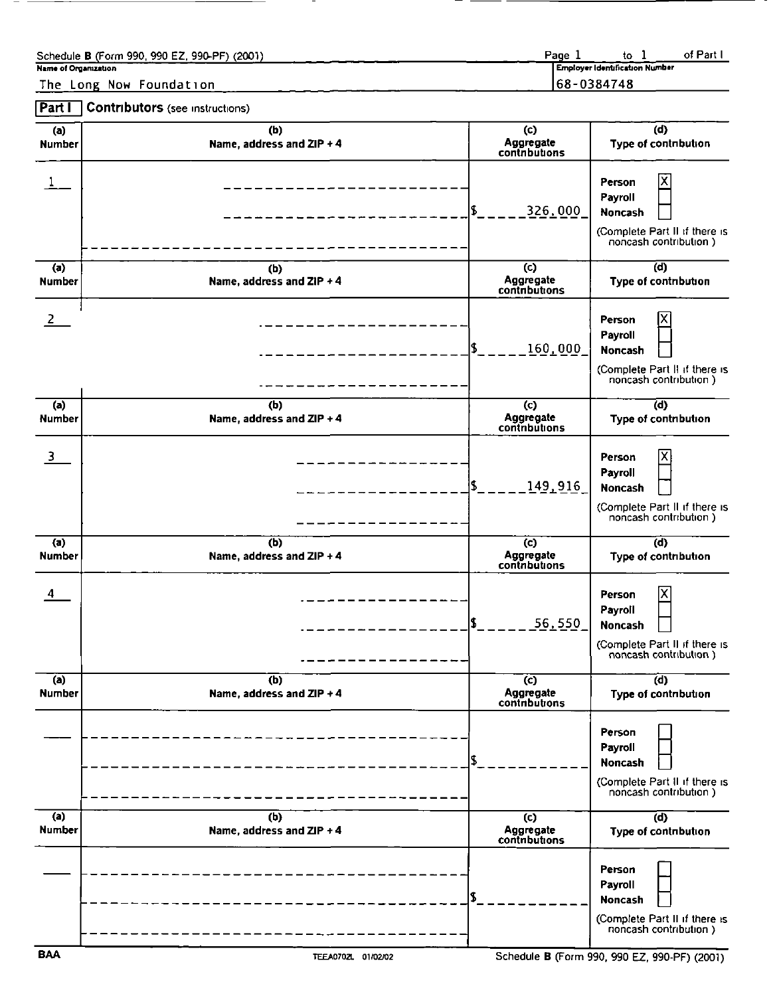| Schedule B (Form 990, 990 EZ, 990-PF) (2001)<br>Name of Organization     | Page 1 to 1<br>Employer Identification Number<br>of Part I |
|--------------------------------------------------------------------------|------------------------------------------------------------|
| The Long Now Foundation<br><b>Part I</b> Contributors (see instructions) | 68-0384748                                                 |

 $\overline{\phantom{0}}$ 

|                                 | Schedule B (Form 990, 990 EZ, 990-PF) (2001)<br>Name of Organization<br>The Long Now Foundation | Page 1                                       | of Part I<br>to $1$<br><b>Employer Identification Number</b><br>68-0384748                       |
|---------------------------------|-------------------------------------------------------------------------------------------------|----------------------------------------------|--------------------------------------------------------------------------------------------------|
| Part I<br>(a)                   | <b>Contributors</b> (see instructions)<br>(b)                                                   | $\left( c\right)$                            | (d)                                                                                              |
| <b>Number</b>                   | Name, address and ZIP + 4                                                                       | Aggregate<br>contributions<br>326,000<br> \$ | Type of contribution<br>X<br>Person<br>Payroll<br>Noncash                                        |
| $\overline{a}$<br><b>Number</b> | (b)<br>Name, address and ZIP + 4                                                                | $\overline{c}$<br>Aggregate<br>contributions | (Complete Part II if there is<br>noncash contribution)<br>$\overline{d}$<br>Type of contribution |
| $\overline{2}$                  |                                                                                                 | l\$.<br>160,000                              | Person<br>Payroll<br>Noncash<br>(Complete Part II if there is<br>noncash contribution)           |
| $\overline{a}$<br><b>Number</b> | (b)<br>Name, address and ZIP + 4                                                                | $\overline{c}$<br>Aggregate<br>contributions | $\overline{d}$<br>Type of contribution                                                           |
| 3                               |                                                                                                 | I\$<br>149,916                               | Х<br>Person<br>Payroll<br>Noncash<br>(Complete Part II if there is<br>noncash contribution)      |
| (a)<br><b>Number</b>            | (b)<br>Name, address and ZIP + 4                                                                | $\overline{c}$<br>Aggregate<br>contributions | $\overline{d}$<br>Type of contribution                                                           |
| $\overline{4}$                  |                                                                                                 | l\$.<br>56.550                               | ΙX<br>Person<br>Payroll<br>Noncash<br>(Complete Part II if there is<br>noncash contribution)     |
| (a)<br><b>Number</b>            | (b)                                                                                             | $\overline{c}$<br>Aggregate<br>contributions | $\overline{d}$                                                                                   |
|                                 | Name, address and ZIP + 4                                                                       |                                              | Type of contribution                                                                             |
|                                 |                                                                                                 | l\$                                          | Person<br>Payroll<br>Noncash<br>(Complete Part II if there is<br>noncash contribution)           |
| $\overline{a}$<br>Number        | $\overline{(\mathsf{b})}$<br>Name, address and ZIP + 4                                          | $\overline{c}$<br>Aggregate<br>contributions | (d)<br>Type of contribution<br>Person                                                            |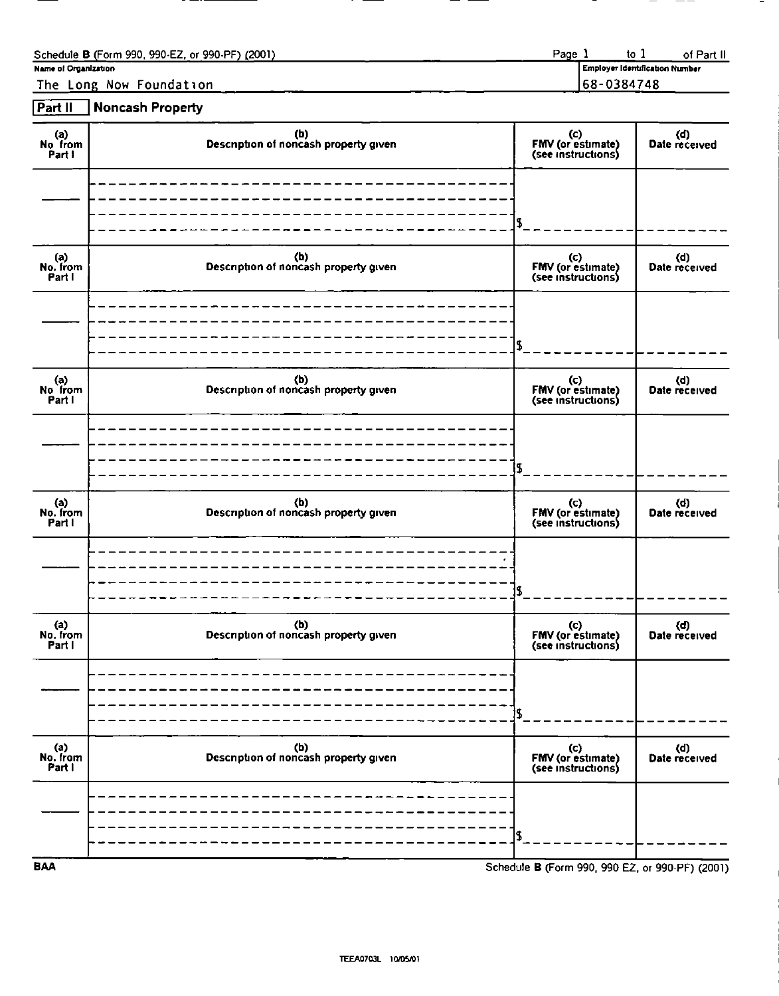| Name of Organization | Schedule B (Form 990, 990-EZ, or 990-PF) (2001)<br>The Long Now Foundation |  | Page 1 | $\frac{1}{2}$<br>Employer Identification Number<br>68-0384748 | of Part II |
|----------------------|----------------------------------------------------------------------------|--|--------|---------------------------------------------------------------|------------|
| Part II              | <b>Noncash Property</b>                                                    |  |        |                                                               |            |

| Name of Organization                | Schedule B (Form 990, 990-EZ, or 990-PF) (2001)<br>The Long Now Foundation | Page 1<br>68-0384748                                 | to $1$<br>of Part II<br>Employer Identification Number |
|-------------------------------------|----------------------------------------------------------------------------|------------------------------------------------------|--------------------------------------------------------|
| Part II<br>(a)<br>No from<br>Part I | <b>Noncash Property</b><br>(b)<br>Description of noncash property given    | (c)<br>FMV (or estimate)<br>(see instructions)       | (d)<br>Date received                                   |
|                                     |                                                                            |                                                      |                                                        |
| (a)<br>No. from<br>Part I           | (b)<br>Description of noncash property given                               | \$<br>(c)<br>FMV (or estimate)<br>(see instructions) | (d)<br>Date received                                   |
|                                     |                                                                            |                                                      |                                                        |
|                                     |                                                                            | \$                                                   |                                                        |
| (a)<br>No from<br>Part I            | (b)<br>Description of noncash property given                               | (c)<br>FMV (or estimate)<br>(see instructions)       | (d)<br>Date received                                   |
|                                     |                                                                            | l\$                                                  |                                                        |
|                                     | (b)<br>Description of noncash property given                               | (c)<br>FMV (or estimate)<br>(see instructions)       | (d)<br>Date received                                   |
| (a)<br>No. from<br>Part I           |                                                                            | \$                                                   |                                                        |
|                                     | (b)<br>Description of noncash property given                               | (c)<br>FMV (or estimate)<br>(see instructions)       | (d)<br>Date received                                   |
| a)<br>No. from<br>Part I            |                                                                            | IS.                                                  |                                                        |
| a)<br>No. from<br>Part I            | (b)<br>Description of noncash property given                               | (c)<br>FMV (or estimate)<br>(see instructions)       | (d)<br>Date received                                   |
|                                     |                                                                            | S<br>Schedule B (Form 990, 990 EZ, or 990-PF) (2001) |                                                        |
| <b>BAA</b>                          |                                                                            |                                                      |                                                        |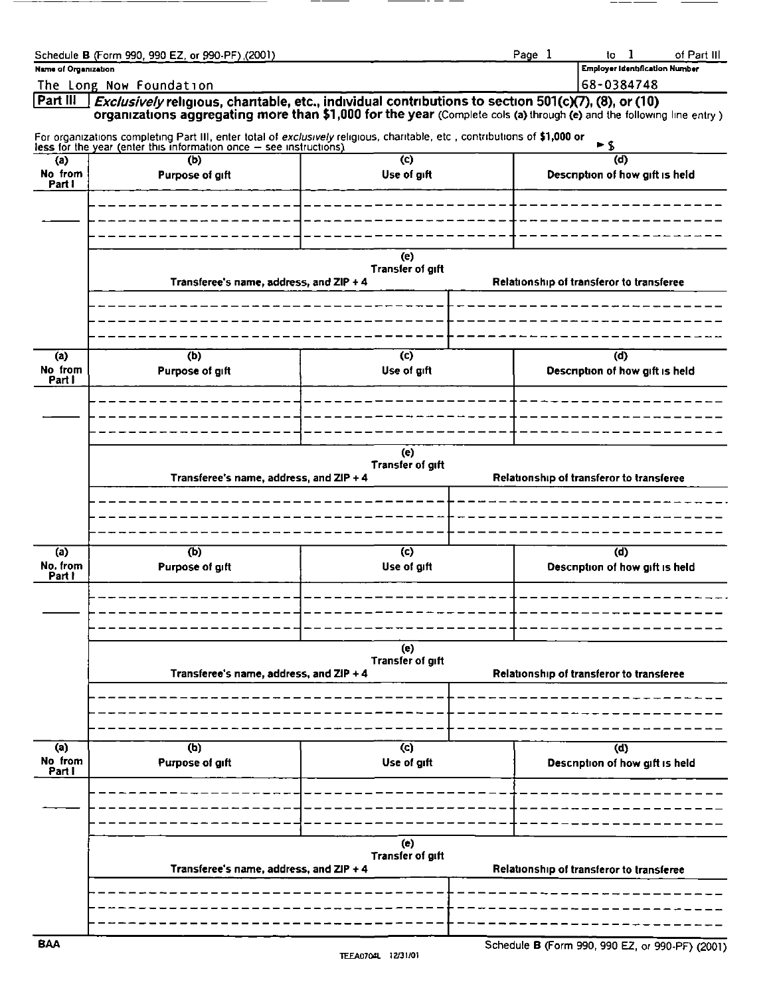| Name of Organization                | Schedule B (Form 990, 990 EZ, or 990-PF) (2001) |                                                                                                                                                                                                                              | Page 1<br>of Part III<br>to $1$<br><b>Employer Identification Number</b>                                                                                                                                                                            |
|-------------------------------------|-------------------------------------------------|------------------------------------------------------------------------------------------------------------------------------------------------------------------------------------------------------------------------------|-----------------------------------------------------------------------------------------------------------------------------------------------------------------------------------------------------------------------------------------------------|
| Part III                            | The Long Now Foundation                         |                                                                                                                                                                                                                              | 68-0384748<br><i>Exclusively</i> religious, charitable, etc., individual contributions to section 501(c)(7), (8), or (10)<br>organizations aggregating more than \$1,000 for the year (Complete cols (a) through (e) and the following line entry ) |
| (a)<br>No from<br>Part I            | (b)<br>Purpose of gift                          | For organizations completing Part III, enter total of exclusively religious, charitable, etc., contributions of \$1,000 or less for the year (enter this information once – see instructions)<br>$\mathbf{c}$<br>Use of gift | ►S<br>(d)<br>Description of how gift is held                                                                                                                                                                                                        |
|                                     |                                                 |                                                                                                                                                                                                                              |                                                                                                                                                                                                                                                     |
|                                     | Transferee's name, address, and ZIP + 4         | (e)<br><b>Transfer of gift</b>                                                                                                                                                                                               | Relationship of transferor to transferee                                                                                                                                                                                                            |
|                                     |                                                 |                                                                                                                                                                                                                              |                                                                                                                                                                                                                                                     |
| $\overline{a}$<br>No from<br>Part I | (b)<br>Purpose of gift                          | $\overline{c}$<br>Use of gift                                                                                                                                                                                                | (d)<br>Description of how gift is held                                                                                                                                                                                                              |
|                                     |                                                 | (e)<br>Transfer of gift                                                                                                                                                                                                      |                                                                                                                                                                                                                                                     |
|                                     | Transferee's name, address, and ZIP + 4         |                                                                                                                                                                                                                              | Relationship of transferor to transferee                                                                                                                                                                                                            |
| $\overline{a}$<br>No. from          | $\overline{(b)}$<br>Purpose of gift             | $\overline{c}$<br>Use of gift                                                                                                                                                                                                | $\overline{d}$<br>Description of how gift is held                                                                                                                                                                                                   |
| Part I                              |                                                 |                                                                                                                                                                                                                              |                                                                                                                                                                                                                                                     |
|                                     | Transferee's name, address, and ZIP + 4         | (e)<br>Transfer of gift                                                                                                                                                                                                      | Relationship of transferor to transferee                                                                                                                                                                                                            |
|                                     |                                                 |                                                                                                                                                                                                                              |                                                                                                                                                                                                                                                     |
| (a)<br>No from<br>Part I            | $\overline{r}$<br>Purpose of gift               | $\overline{c}$<br>Use of gift                                                                                                                                                                                                | $\overline{d}$<br>Description of how gift is held                                                                                                                                                                                                   |
|                                     |                                                 |                                                                                                                                                                                                                              |                                                                                                                                                                                                                                                     |
|                                     |                                                 |                                                                                                                                                                                                                              |                                                                                                                                                                                                                                                     |
|                                     | Transferee's name, address, and ZIP + 4         | (e)<br>Transfer of gift                                                                                                                                                                                                      | Relationship of transferor to transferee                                                                                                                                                                                                            |
| <b>BAA</b>                          |                                                 |                                                                                                                                                                                                                              | Schedule B (Form 990, 990 EZ, or 990-PF) (2001)                                                                                                                                                                                                     |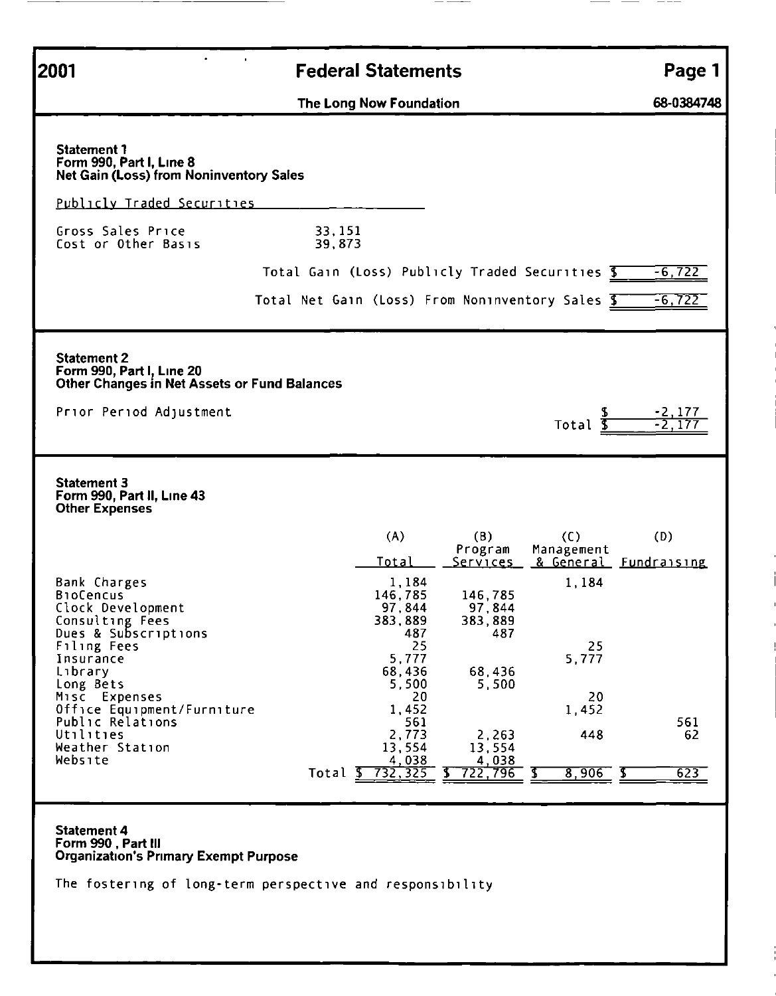| $\blacksquare$                                                                                                                                                                        |                                                                                                    |                                                                            |                         |
|---------------------------------------------------------------------------------------------------------------------------------------------------------------------------------------|----------------------------------------------------------------------------------------------------|----------------------------------------------------------------------------|-------------------------|
| 2001                                                                                                                                                                                  | <b>Federal Statements</b><br>The Long Now Foundation                                               |                                                                            |                         |
| <b>Statement 1</b>                                                                                                                                                                    |                                                                                                    |                                                                            |                         |
| Form 990, Part I, Line 8<br>Net Gain (Loss) from Noninventory Sales<br>Publicly Traded Securities<br>Gross Sales Price<br>Cost or Other Basis                                         | 33, 151<br>39,873                                                                                  |                                                                            |                         |
|                                                                                                                                                                                       | Total Gain (Loss) Publicly Traded Securities 5<br>Total Net Gain (Loss) From Noninventory Sales \$ |                                                                            | $-6, 722$<br>$-6,722$   |
| <b>Statement 2</b><br>Form 990, Part I, Line 20<br>Other Changes in Net Assets or Fund Balances<br>Prior Period Adjustment                                                            |                                                                                                    | \$<br>Total <b>S</b>                                                       | $\frac{-2,177}{-2,177}$ |
|                                                                                                                                                                                       |                                                                                                    |                                                                            |                         |
|                                                                                                                                                                                       | (A)<br>(B)<br><b>Total</b><br>1,184                                                                | (C)<br>Program<br>Management<br>& General Fundraising<br>Services<br>1,184 | (D)                     |
| <b>Statement 3</b><br>Form 990, Part II, Line 43<br>Other Expenses<br>Bank Charges<br><b>BioCencus</b><br>Clock Development<br>Consulting Fees<br>Dues & Subscriptions<br>Filing Fees | 146,785<br>97,844<br>383,889<br>487<br>25                                                          | 146,785<br>97,844<br>383,889<br>487<br>25                                  |                         |
| Insurance<br>Library<br>Long Bets<br>Misc Expenses                                                                                                                                    | 5,777<br>68,436<br>5,500<br>20<br>1,452                                                            | 5,777<br>68,436<br>5,500<br>20<br>1,452                                    |                         |
| Office Equipment/Furniture<br>Public Relations<br>Utilities<br>Weather Station<br>Website                                                                                             | 561<br>2,773<br>13,554<br>Total $\frac{4,038}{5,732,325}$                                          | 448<br>2.263<br>13,554<br>4,038<br>722,796<br>$8,906$ \$<br>Ъ              | 561<br>62<br>623        |
| <b>Statement 4</b><br>Form 990, Part III                                                                                                                                              |                                                                                                    |                                                                            |                         |
| <b>Organization's Primary Exempt Purpose</b>                                                                                                                                          | The fostering of long-term perspective and responsibility                                          |                                                                            | Page 1<br>68-0384748    |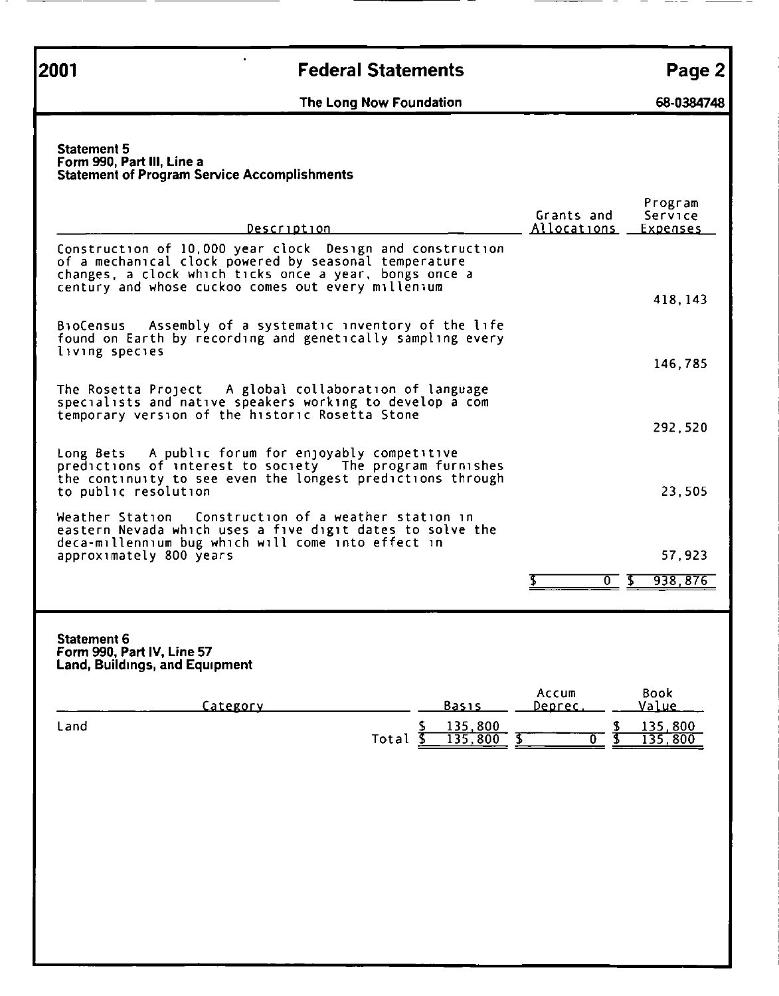# Page 2 **2001 Example 2001 Federal Statements Page 2**

### The Long Now Foundation 68-0384748

### Statement 5 otatement<br>Form 990, Part III, Line a<br>Statement of Program Service Accomplishments

| 2001                                                                                      | <b>Federal Statements</b><br>The Long Now Foundation                                                                                                                                                                                                                                                                                                    | Page 2<br>68-0384748                                                                                       |
|-------------------------------------------------------------------------------------------|---------------------------------------------------------------------------------------------------------------------------------------------------------------------------------------------------------------------------------------------------------------------------------------------------------------------------------------------------------|------------------------------------------------------------------------------------------------------------|
| <b>Statement 5</b><br>Form 990, Part III, Line a                                          | <b>Statement of Program Service Accomplishments</b>                                                                                                                                                                                                                                                                                                     |                                                                                                            |
|                                                                                           | Description<br>Construction of 10,000 year clock Design and construction<br>of a mechanical clock powered by seasonal temperature<br>changes, a clock which ticks once a year, bongs once a<br>century and whose cuckoo comes out every millenium                                                                                                       | Program<br>Grants and<br>Service<br>Allocations<br><u>Expenses</u>                                         |
| BioCensus                                                                                 | Assembly of a systematic inventory of the life                                                                                                                                                                                                                                                                                                          | 418, 143                                                                                                   |
| living species                                                                            | found on Earth by recording and genetically sampling every                                                                                                                                                                                                                                                                                              | 146,785                                                                                                    |
|                                                                                           | The Rosetta Project A global collaboration of language<br>specialists and native speakers working to develop a com<br>temporary version of the historic Rosetta Stone                                                                                                                                                                                   | 292,520                                                                                                    |
| to public resolution<br>approximately 800 years                                           | Long Bets A public forum for enjoyably competitive<br>predictions of interest to society The program furnishes<br>the continuity to see even the longest predictions through<br>Weather Station Construction of a weather station in<br>eastern Nevada which uses a five digit dates to solve the<br>deca-millennium bug which will come into effect in | 23,505<br>57,923                                                                                           |
| <b>Statement 6</b><br>Form 990, Part IV, Line 57<br><b>Land, Buildings, and Equipment</b> |                                                                                                                                                                                                                                                                                                                                                         | ত হ<br>938,876                                                                                             |
| Land                                                                                      | Category<br><u>Basis</u><br>135,800<br>Total $\overline{S}$<br>$135,800$ \$                                                                                                                                                                                                                                                                             | Accum<br><b>Book</b><br>Value<br>Deprec.<br>135,800<br>$rac{1}{3}$<br>$\overline{\mathfrak{o}}$<br>135,800 |

### Statement 6 otatement of<br>Form 990, Part IV, Line 57<br>Land, Buildings, and Equipment

| Category |       | Basis              | Accum<br>Deprec | Book<br>Value             |
|----------|-------|--------------------|-----------------|---------------------------|
| Land     | Total | 135,800<br>135,800 |                 | <u>135,800</u><br>135,800 |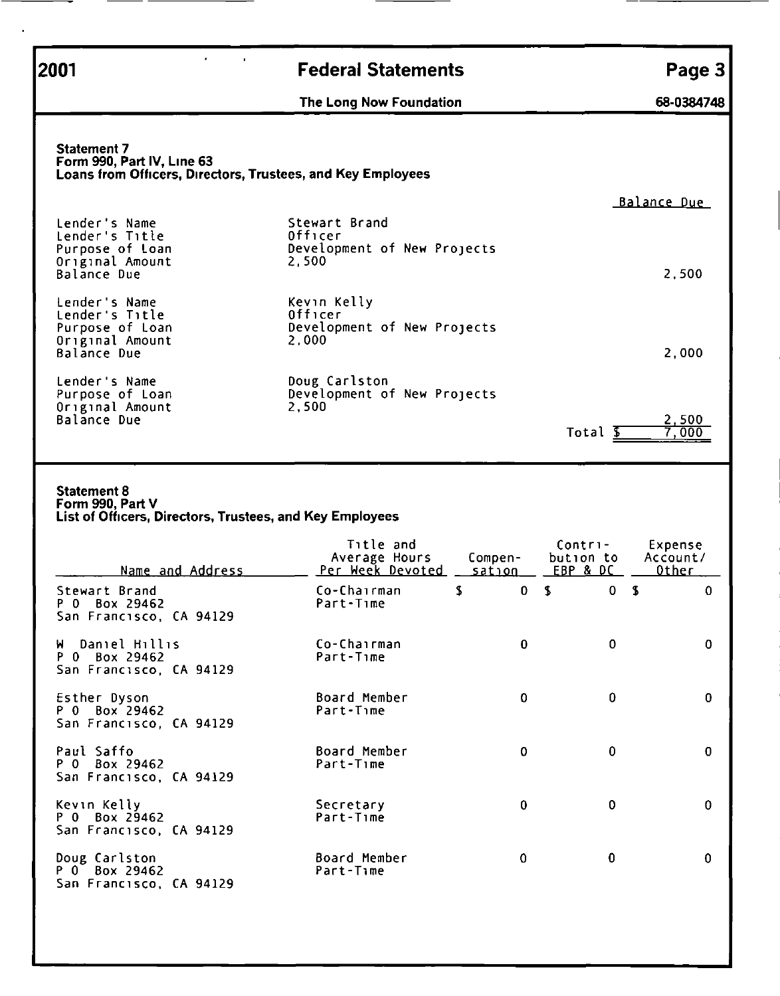Federal Statements<br>
The Long Now Foundation 68-0384748 2001 Federal Statements Page 3

### Statement 7<br>Form 990, Part IV, Line 63 Loans from Officers, Directors, Trustees, and Key Employees **2001**<br> **Example 18 The Long Now Foundation**<br> **Example)**<br> **Example)**<br> **Example)**<br> **Example)**<br> **Example)**<br> **Example)**<br> **Example)**<br> **Example)**<br> **Example)**<br> **Example)**<br> **Example)**<br> **Example)**<br> **Example)**<br> **Example)**<br> **Example**

### Statement 8

| 2001                                                                                                            | <b>Federal Statements</b>                                        |                   |                                             | Page 3                              |
|-----------------------------------------------------------------------------------------------------------------|------------------------------------------------------------------|-------------------|---------------------------------------------|-------------------------------------|
|                                                                                                                 | The Long Now Foundation                                          |                   |                                             | 68-0384748                          |
| <b>Statement 7</b><br>Form 990, Part IV, Line 63<br>Loans from Officers, Directors, Trustees, and Key Employees |                                                                  |                   |                                             | Balance Due                         |
| Lender's Name<br>Lender's Title<br>Purpose of Loan<br>Original Amount<br>Balance Due                            | Stewart Brand<br>Officer<br>Development of New Projects<br>2,500 |                   |                                             | 2,500                               |
| Lender's Name<br>Lender's Title<br>Purpose of Loan<br>Original Amount<br><b>Balance Due</b>                     | Kevin Kelly<br>Officer<br>Development of New Projects<br>2,000   |                   |                                             | 2,000                               |
| Lender's Name<br>Purpose of Loan<br>Original Amount<br>Balance Due                                              | Doug Carlston<br>Development of New Projects<br>2,500            |                   | Total <b>S</b>                              | 2,500<br>7,000                      |
| <b>Statement 8</b><br>Form 990, Part V<br>List of Officers, Directors, Trustees, and Key Employees              |                                                                  |                   |                                             |                                     |
| Name and Address                                                                                                | Title and<br>Average Hours<br>Per Week Devoted                   | Compen-<br>sation | Contri-<br>bution to<br><u>EBP &amp; DC</u> | Expense<br>Account/<br><u>Other</u> |
| Stewart Brand<br>P 0 Box 29462<br>San Francisco, CA 94129                                                       | \$<br>Co-Chairman<br>Part-Time                                   | $\mathbf{0}$      | $\sqrt{2}$<br>$\mathbf 0$<br>$\mathbf{S}$   | $\mathbf 0$                         |
| W Daniel Hillis<br>P 0 Box 29462<br>San Francisco, CA 94129                                                     | Co-Chairman<br>Part-Time                                         | $\bf{0}$          | $\bf{0}$                                    | $\mathbf 0$                         |
| Esther Dyson<br>P 0 Box 29462<br>San Francisco, CA 94129                                                        | Board Member<br>Part-Time                                        | $\mathbf 0$       | 0                                           | 0                                   |
| Paul Saffo<br>P 0 Box 29462<br>San Francisco, CA 94129                                                          | Board Member<br>Part-Time                                        | 0                 | 0                                           | $\mathbf 0$                         |
| Kevin Kelly<br>P 0 Box 29462<br>San Francisco, CA 94129                                                         | Secretary<br>Part-Time                                           | $\bf{0}$          | 0                                           | $\mathbf 0$                         |
| Doug Carlston<br>P 0 Box 29462<br>San Francisco, CA 94129                                                       | Board Member<br>Part-Time                                        | $\mathbf 0$       | 0                                           | 0                                   |
|                                                                                                                 |                                                                  |                   |                                             |                                     |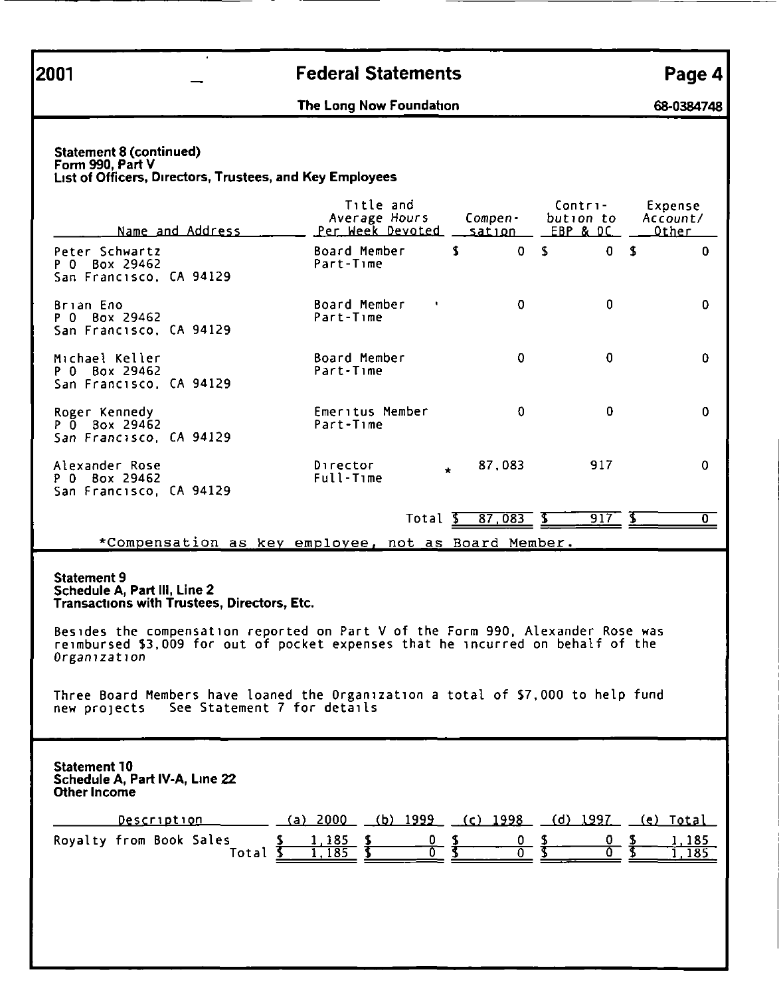# external contracts and the contract of the contract of the contract of the contract of the contract of the contract of the contract of the contract of the contract of the contract of the contract of the contract of the con 2001 - Federal Statements<br>The Long Now Foundation 68-0384748

### Statement 8 (continued)<br>
Statement 8 (continued)<br>
Form 990, Part V<br>
List of Officers, Directors, Trustees, and I<br>
Mame and Address

| 2001                                               |                                                                             | <b>Federal Statements</b>                                                                                                                                          |                                                   |                         | Page 4                                                 |
|----------------------------------------------------|-----------------------------------------------------------------------------|--------------------------------------------------------------------------------------------------------------------------------------------------------------------|---------------------------------------------------|-------------------------|--------------------------------------------------------|
|                                                    |                                                                             | The Long Now Foundation                                                                                                                                            |                                                   |                         | 68-0384748                                             |
| <b>Statement 8 (continued)</b><br>Form 990, Part V | List of Officers, Directors, Trustees, and Key Employees                    | Title and<br>Average Hours                                                                                                                                         | Compen-                                           | Contri-<br>bution to    | Expense<br>Account/                                    |
| Peter Schwartz<br>P 0 Box 29462                    | Name and Address                                                            | <u>Per Week Devoted</u><br>Board Member<br>Part-Time                                                                                                               | <u>sation –</u><br>$\mathbf{S}$<br>0 <sub>5</sub> | EBP & DC<br>$\mathbf 0$ | <u>Other</u><br>$\overline{\mathbf{3}}$<br>$\mathbf 0$ |
| Brian Eno                                          | San Francisco, CA 94129                                                     | Board Member<br>٠                                                                                                                                                  | $\mathbf 0$                                       | 0                       | $\mathbf 0$                                            |
| P 0 Box 29462                                      | San Francisco, CA 94129                                                     | Part-Time                                                                                                                                                          |                                                   |                         |                                                        |
| Michael Keller<br>P 0 Box 29462                    |                                                                             | Board Member                                                                                                                                                       | $\mathbf 0$                                       | $\mathbf 0$             |                                                        |
|                                                    | San Francisco, CA 94129                                                     | Part-Time                                                                                                                                                          |                                                   |                         | 0                                                      |
| Roger Kennedy<br>P 0 Box 29462                     |                                                                             | Emeritus Member<br>Part-Time                                                                                                                                       | $\mathbf 0$                                       | 0                       | $\mathbf 0$                                            |
| Alexander Rose<br>P 0 Box 29462                    | San Francisco, CA 94129<br>San Francisco, CA 94129                          | Director<br>$\star$<br>Full-Time                                                                                                                                   | 87,083                                            | 917                     | 0                                                      |
|                                                    |                                                                             |                                                                                                                                                                    | Total $\frac{2}{3}$ 87,083 $\frac{2}{3}$          | $917 - 6$               | $\overline{0}$                                         |
|                                                    |                                                                             | *Compensation as key employee, not as Board Member.                                                                                                                |                                                   |                         |                                                        |
| Statement 9                                        | Schedule A, Part III, Line 2<br>Transactions with Trustees, Directors, Etc. |                                                                                                                                                                    |                                                   |                         |                                                        |
| Organization                                       |                                                                             | Besides the compensation reported on Part V of the Form 990, Alexander Rose was<br>reimbursed \$3,009 for out of pocket expenses that he incurred on behalf of the |                                                   |                         |                                                        |
|                                                    | new projects See Statement 7 for details                                    | Three Board Members have loaned the Organization a total of \$7,000 to help fund                                                                                   |                                                   |                         |                                                        |
| <b>Statement 10</b><br><b>Other Income</b>         | Schedule A, Part IV-A, Line 22                                              |                                                                                                                                                                    |                                                   |                         |                                                        |
|                                                    | Description                                                                 | (a) $2000$ (b) $1999$ (c) $1998$ (d) $1997$                                                                                                                        |                                                   |                         | <u>(e) Total</u>                                       |
|                                                    | Royalty from Book Sales<br>Total \$                                         | $1,185$ \$<br>$\frac{0}{0}$ $\frac{5}{5}$<br>$\overline{\mathbf{S}}$<br>1,185                                                                                      | $\frac{0}{0}$ \$                                  | 0.<br>∩                 | 1,185<br>$rac{1}{3}$<br>1,185                          |
|                                                    |                                                                             |                                                                                                                                                                    |                                                   |                         |                                                        |
|                                                    |                                                                             |                                                                                                                                                                    |                                                   |                         |                                                        |

| Description                                                                                                                                                                                                                                         | (a) 2000 (b) 1999 (c) 1998 (d) 1997 (e) Total |  |  |  |  |
|-----------------------------------------------------------------------------------------------------------------------------------------------------------------------------------------------------------------------------------------------------|-----------------------------------------------|--|--|--|--|
| Royalty from Book Sales $\begin{array}{cccccccc} \text{S} & 1,185 & \text{S} & 0 & \text{S} & 0 & \text{S} & 0 & \text{S} & 1,185 \\ \text{Total } \text{S} & 1,185 & \text{S} & 0 & \text{S} & 0 & \text{S} & 0 & \text{S} & 1,185 \\ \end{array}$ |                                               |  |  |  |  |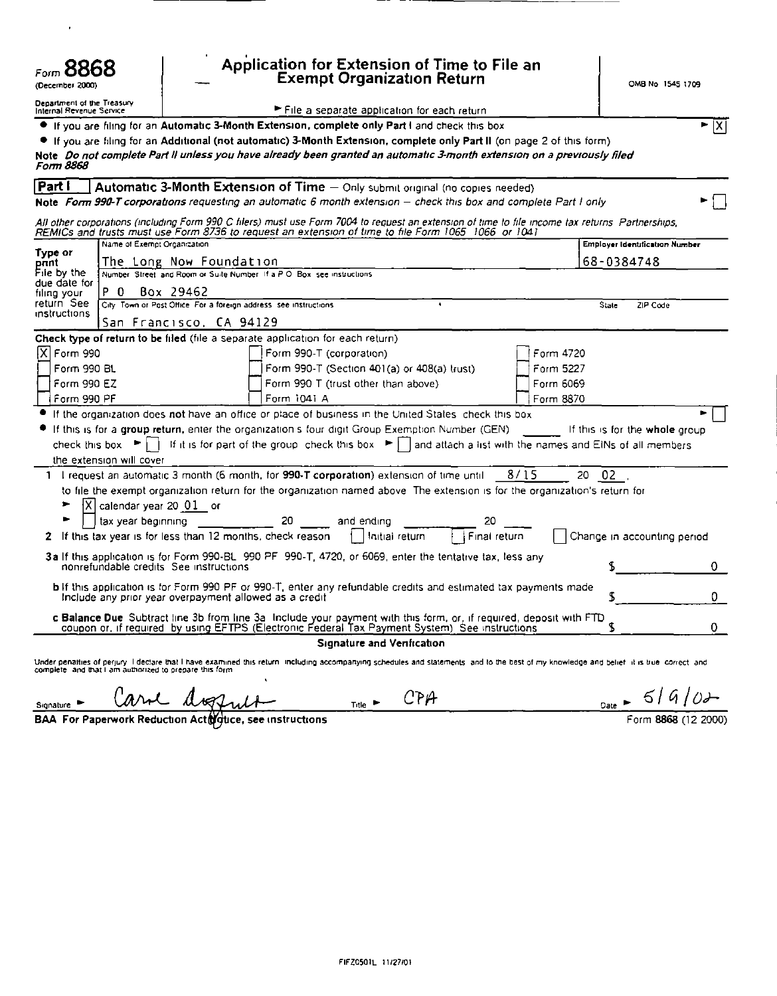| Form 8868<br>(December 2000)                                |                                                                                                                                      | Application for Extension of Time to File an<br>Exempt Organization Return                                                                                                                                                                                                                                                                                                                        |                                |                                                                                                                                                                                                                                   | OMB No 1545 1709            |
|-------------------------------------------------------------|--------------------------------------------------------------------------------------------------------------------------------------|---------------------------------------------------------------------------------------------------------------------------------------------------------------------------------------------------------------------------------------------------------------------------------------------------------------------------------------------------------------------------------------------------|--------------------------------|-----------------------------------------------------------------------------------------------------------------------------------------------------------------------------------------------------------------------------------|-----------------------------|
| Department of the Treasury<br>Internal Revenue Service      |                                                                                                                                      | File a separate application for each return<br>If you are filing for an Automatic 3-Month Extension, complete only Part I and check this box<br>• If you are filing for an Additional (not automatic) 3-Month Extension, complete only Part II (on page 2 of this form)<br>Note Do not complete Part II unless you have already been granted an automatic 3-month extension on a previously filed |                                |                                                                                                                                                                                                                                   | $\blacktriangleright$ $ X $ |
| Form 8868<br>Part                                           |                                                                                                                                      | Automatic 3-Month Extension of Time - Only submit original (no copies needed)<br>Note Form 990-T corporations requesting an automatic 6 month extension - check this box and complete Part I only                                                                                                                                                                                                 |                                | All other corporations (including Form 990 C filers) must use Form 7004 to request an extension of time to file income tax returns. Partnerships,                                                                                 |                             |
| Type or<br>pant<br>File by the<br>due date for              | Name of Exempt Organization<br>The Long Now Foundation<br>Number, Street, and Room or Suite Number, If a P.O. Box, see instructions. | REMICs and trusts must use Form 8736 to request an extension of time to file Form 1065 1066 or 1041                                                                                                                                                                                                                                                                                               |                                | <b>Employer Identification Number</b><br>68-0384748                                                                                                                                                                               |                             |
| P <sub>0</sub><br>filing your<br>return See<br>instructions | Box 29462<br>City Town or Post Office For a foreign address see instructions<br>San Francisco, CA 94129                              | Check type of return to be filed (file a separate application for each return)                                                                                                                                                                                                                                                                                                                    |                                | State                                                                                                                                                                                                                             | ZIP Code                    |
| X   Form 990<br>Form 990 BL<br>Form 990 EZ<br>Form 990 PF   |                                                                                                                                      | Form 990-T (corporation)<br>Form 990-T (Section 401(a) or 408(a) trust)<br>Form 990 T (trust other than above)<br>Form 1041 A                                                                                                                                                                                                                                                                     |                                | Form 4720<br>Form 5227<br>Form 6069<br>Form 8870                                                                                                                                                                                  |                             |
| the extension will cover                                    |                                                                                                                                      | If the organization does not have an office or place of business in the United Stales, check this box<br>If this is for a group return, enter the organization's four digit Group Exemption Number (GEN)                                                                                                                                                                                          |                                | If this is for the whole group<br>check this box $\blacktriangleright \Box$ If it is for part of the group check this box $\blacktriangleright$   and attach a list with the names and EINs of all members                        |                             |
| ▶<br>Þ                                                      | $ X $ calendar year 20 $ 01 $ or<br>tax year beginning                                                                               | 1 I request an automatic 3 month (6 month, for 990-T corporation) extension of time until<br>20<br>and ending                                                                                                                                                                                                                                                                                     | 20                             | 8/15<br>02<br>20<br>to file the exempt organization return for the organization named above. The extension is for the organization's return for                                                                                   |                             |
| 2                                                           | If this tax year is for less than 12 months, check reason<br>nonrefundable credits. See instructions                                 | 3a If this application is for Form 990-BL 990 PF 990-T, 4720, or 6069, enter the tentative tax, less any<br><b>b</b> If this application is for Form 990 PF or 990-T, enter any refundable credits and estimated tax payments made                                                                                                                                                                | Final return<br>Initial return | Change in accounting period<br>S                                                                                                                                                                                                  | 0                           |
|                                                             | Include any prior year overpayment allowed as a credit                                                                               | c Balance Due Subtract line 3b from line 3a Include your payment with this form, or, if required, deposit with FTD coupon or, if required by using EFTPS (Electronic Federal Tax Payment System). See instructions<br><b>Signature and Venfication</b>                                                                                                                                            |                                | S<br>S                                                                                                                                                                                                                            | 0<br>0.                     |
|                                                             |                                                                                                                                      |                                                                                                                                                                                                                                                                                                                                                                                                   |                                | Under penatiies of perjury. I dectare that I have examined this return including accompanying schedules and statements, and to the best of my knowledge and belief. It is true, correct, and<br>complete, and that I am authorize |                             |

| Signature <b>b</b> | Carol disquise | Title $\blacktriangleright$ | CPA |
|--------------------|----------------|-----------------------------|-----|
|                    |                |                             |     |

 $\frac{0 \text{ate}}{60}$   $\frac{6}{10}$   $\frac{6}{10}$   $\frac{6}{10}$ 

BAA For Paperwork Reduction Activative, see instructions